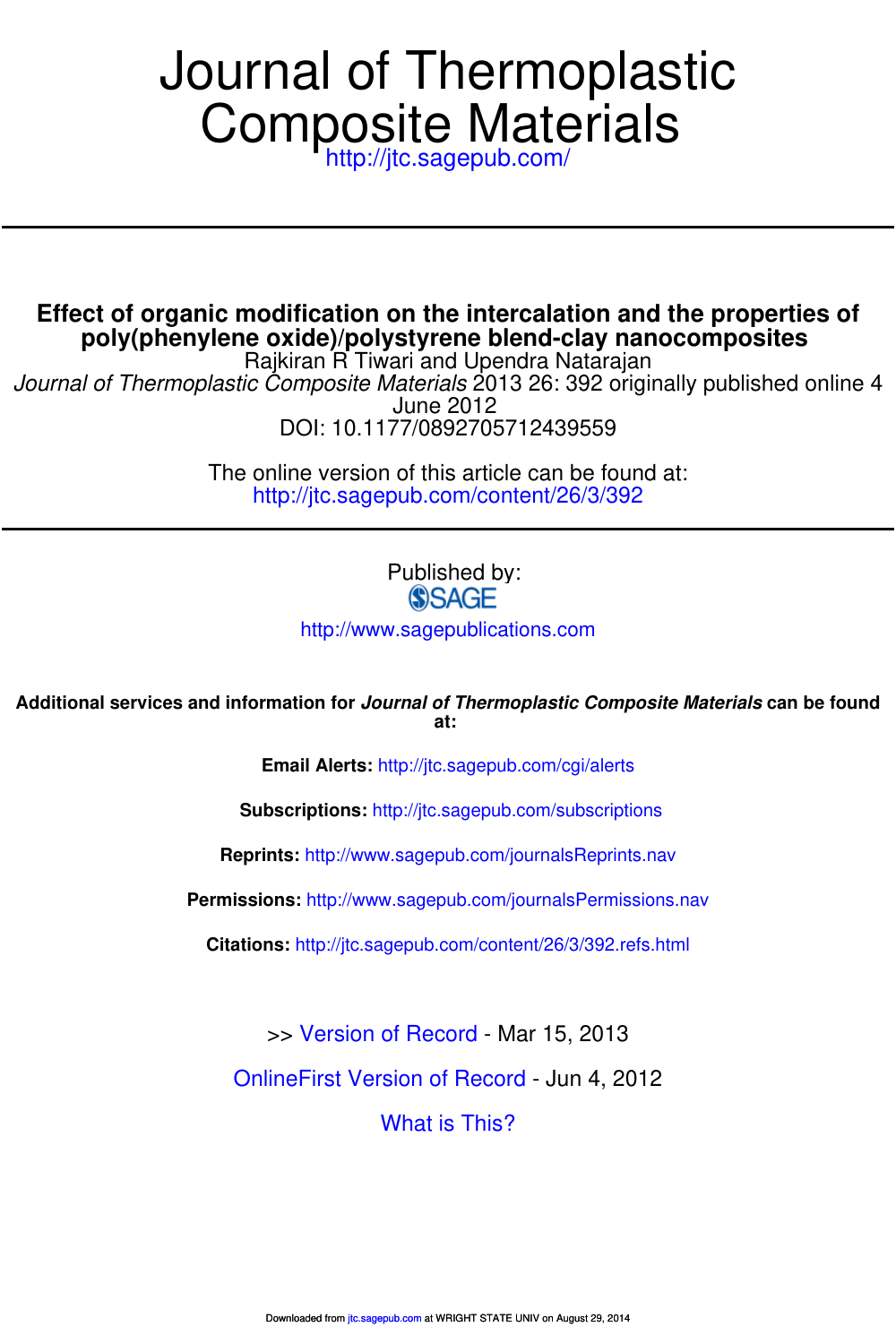# Composite Materials Journal of Thermoplastic

http://jtc.sagepub.com/

**poly(phenylene oxide)/polystyrene blend-clay nanocomposites Effect of organic modification on the intercalation and the properties of**

DOI: 10.1177/0892705712439559 June 2012 Journal of Thermoplastic Composite Materials 2013 26: 392 originally published online 4 Rajkiran R Tiwari and Upendra Natarajan

> http://jtc.sagepub.com/content/26/3/392 The online version of this article can be found at:

> > Published by:<br>
> > SAGE

http://www.sagepublications.com

**at: Additional services and information for Journal of Thermoplastic Composite Materials can be found**

**Email Alerts:** http://jtc.sagepub.com/cgi/alerts

**Subscriptions:** http://jtc.sagepub.com/subscriptions

**Reprints:** http://www.sagepub.com/journalsReprints.nav

**Permissions:** http://www.sagepub.com/journalsPermissions.nav

**Citations:** http://jtc.sagepub.com/content/26/3/392.refs.html

>> Version of Record - Mar 15, 2013

OnlineFirst Version of Record - Jun 4, 2012

What is This?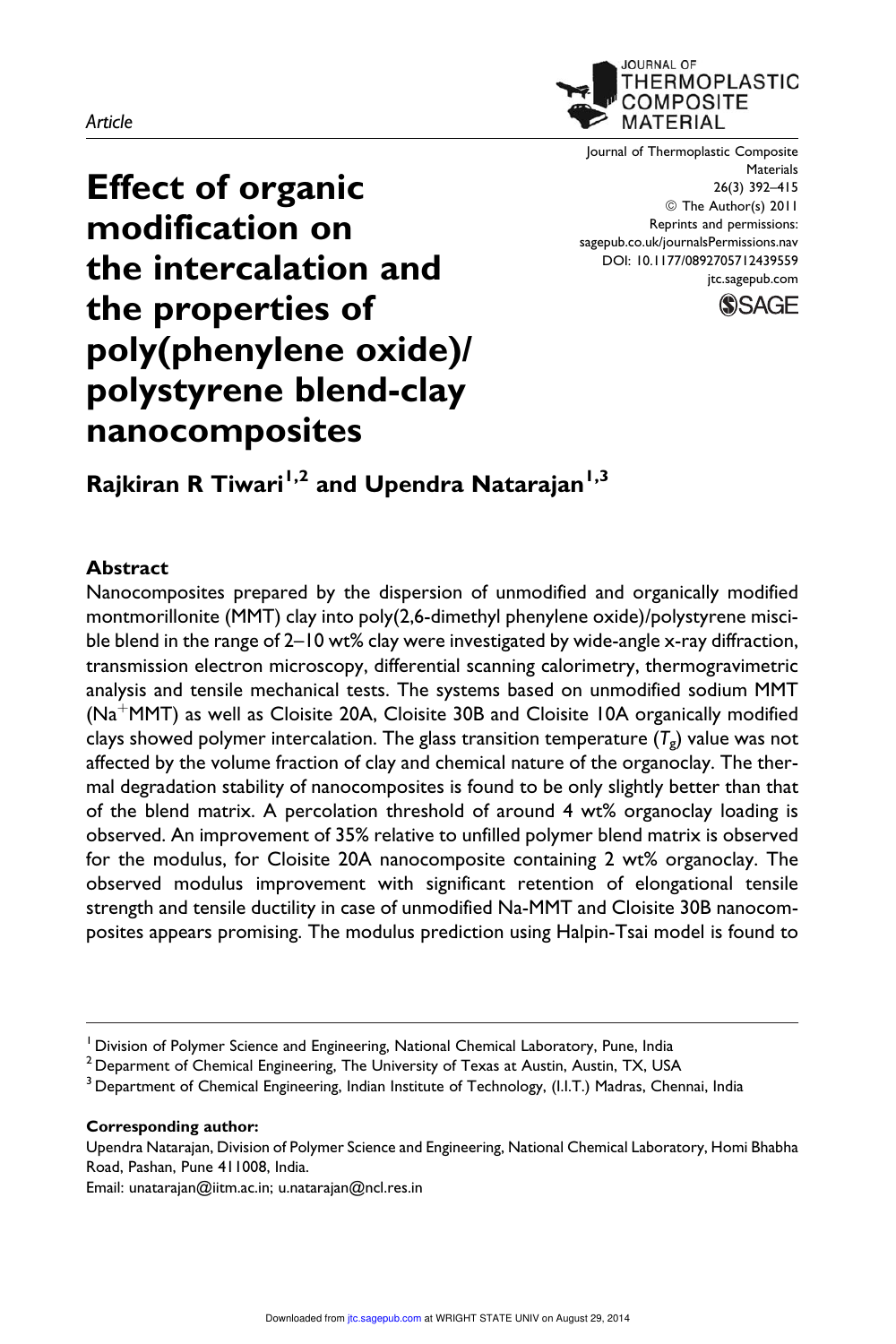#### Article



Journal of Thermoplastic Composite **Materials** 26(3) 392–415 © The Author(s) 2011 Reprints and permissions: sagepub.co.uk/journalsPermissions.nav DOI: 10.1177/0892705712439559 jtc.sagepub.com



# Effect of organic modification on the intercalation and the properties of poly(phenylene oxide)/ polystyrene blend-clay nanocomposites

Rajkiran R Tiwari<sup>1,2</sup> and Upendra Natarajan<sup>1,3</sup>

#### Abstract

Nanocomposites prepared by the dispersion of unmodified and organically modified montmorillonite (MMT) clay into poly(2,6-dimethyl phenylene oxide)/polystyrene miscible blend in the range of 2–10 wt% clay were investigated by wide-angle x-ray diffraction, transmission electron microscopy, differential scanning calorimetry, thermogravimetric analysis and tensile mechanical tests. The systems based on unmodified sodium MMT  $(Na^+MMT)$  as well as Cloisite 20A, Cloisite 30B and Cloisite 10A organically modified clays showed polymer intercalation. The glass transition temperature  $(\mathsf{\mathcal{T}}_{\mathsf{g}})$  value was not affected by the volume fraction of clay and chemical nature of the organoclay. The thermal degradation stability of nanocomposites is found to be only slightly better than that of the blend matrix. A percolation threshold of around 4 wt% organoclay loading is observed. An improvement of 35% relative to unfilled polymer blend matrix is observed for the modulus, for Cloisite 20A nanocomposite containing 2 wt% organoclay. The observed modulus improvement with significant retention of elongational tensile strength and tensile ductility in case of unmodified Na-MMT and Cloisite 30B nanocomposites appears promising. The modulus prediction using Halpin-Tsai model is found to

#### Corresponding author:

Upendra Natarajan, Division of Polymer Science and Engineering, National Chemical Laboratory, Homi Bhabha Road, Pashan, Pune 411008, India.

Email: unatarajan@iitm.ac.in; u.natarajan@ncl.res.in

<sup>&</sup>lt;sup>1</sup> Division of Polymer Science and Engineering, National Chemical Laboratory, Pune, India

 $2$  Deparment of Chemical Engineering, The University of Texas at Austin, Austin, TX, USA

 $3$  Department of Chemical Engineering, Indian Institute of Technology, (I.I.T.) Madras, Chennai, India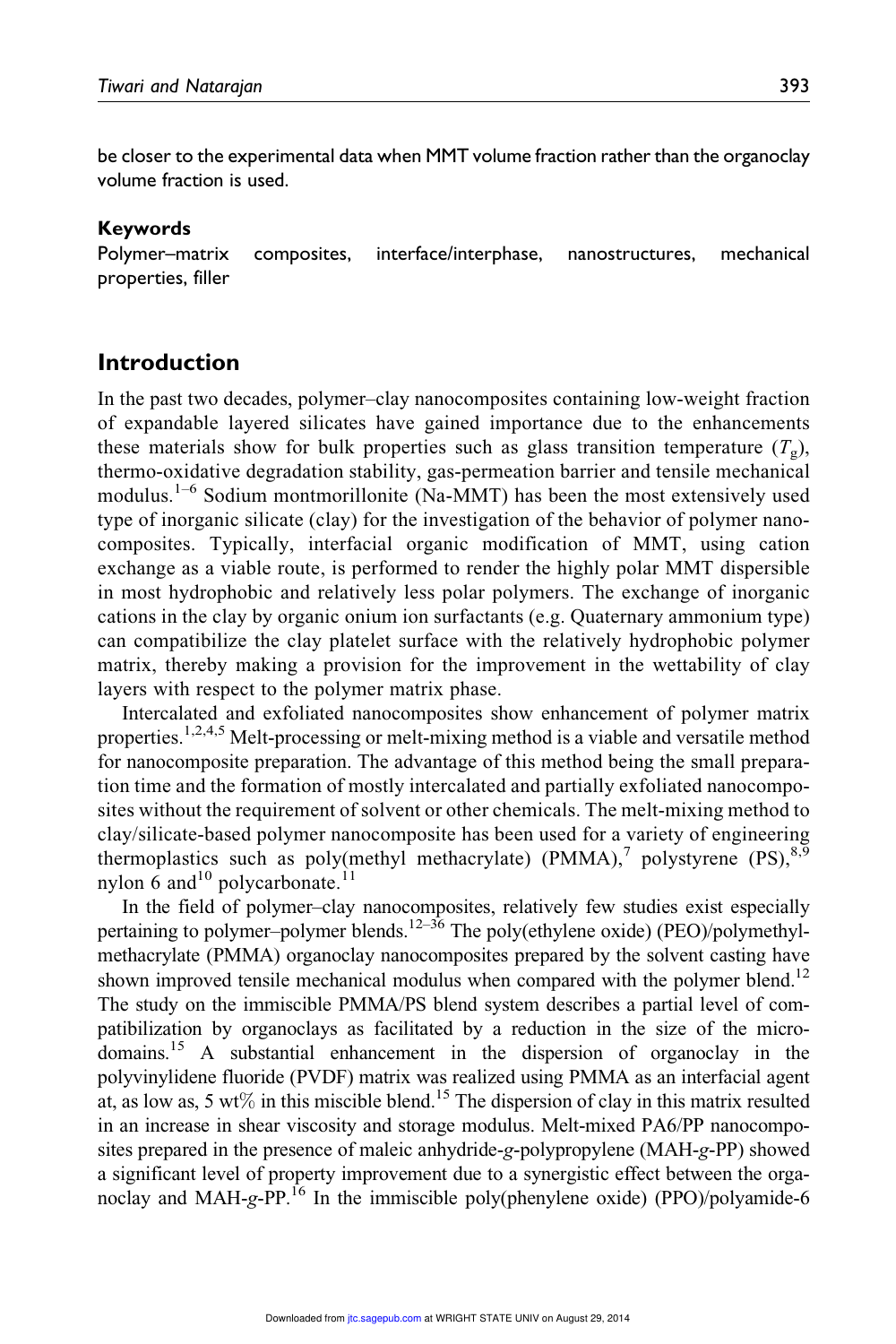be closer to the experimental data when MMT volume fraction rather than the organoclay volume fraction is used.

#### Keywords

Polymer–matrix composites, interface/interphase, nanostructures, mechanical properties, filler

# Introduction

In the past two decades, polymer–clay nanocomposites containing low-weight fraction of expandable layered silicates have gained importance due to the enhancements these materials show for bulk properties such as glass transition temperature  $(T<sub>g</sub>)$ , thermo-oxidative degradation stability, gas-permeation barrier and tensile mechanical modulus.<sup>1–6</sup> Sodium montmorillonite (Na-MMT) has been the most extensively used type of inorganic silicate (clay) for the investigation of the behavior of polymer nanocomposites. Typically, interfacial organic modification of MMT, using cation exchange as a viable route, is performed to render the highly polar MMT dispersible in most hydrophobic and relatively less polar polymers. The exchange of inorganic cations in the clay by organic onium ion surfactants (e.g. Quaternary ammonium type) can compatibilize the clay platelet surface with the relatively hydrophobic polymer matrix, thereby making a provision for the improvement in the wettability of clay layers with respect to the polymer matrix phase.

Intercalated and exfoliated nanocomposites show enhancement of polymer matrix properties.<sup>1,2,4,5</sup> Melt-processing or melt-mixing method is a viable and versatile method for nanocomposite preparation. The advantage of this method being the small preparation time and the formation of mostly intercalated and partially exfoliated nanocomposites without the requirement of solvent or other chemicals. The melt-mixing method to clay/silicate-based polymer nanocomposite has been used for a variety of engineering thermoplastics such as poly(methyl methacrylate) (PMMA),<sup>7</sup> polystyrene (PS),<sup>8,9</sup> nylon 6 and  $10$  polycarbonate.<sup>11</sup>

In the field of polymer–clay nanocomposites, relatively few studies exist especially pertaining to polymer–polymer blends.<sup>12–36</sup> The poly(ethylene oxide) (PEO)/polymethylmethacrylate (PMMA) organoclay nanocomposites prepared by the solvent casting have shown improved tensile mechanical modulus when compared with the polymer blend.<sup>12</sup> The study on the immiscible PMMA/PS blend system describes a partial level of compatibilization by organoclays as facilitated by a reduction in the size of the microdomains.<sup>15</sup> A substantial enhancement in the dispersion of organoclay in the polyvinylidene fluoride (PVDF) matrix was realized using PMMA as an interfacial agent at, as low as, 5 wt% in this miscible blend.<sup>15</sup> The dispersion of clay in this matrix resulted in an increase in shear viscosity and storage modulus. Melt-mixed PA6/PP nanocomposites prepared in the presence of maleic anhydride-g-polypropylene (MAH-g-PP) showed a significant level of property improvement due to a synergistic effect between the organoclay and MAH-g-PP.<sup>16</sup> In the immiscible poly(phenylene oxide) (PPO)/polyamide-6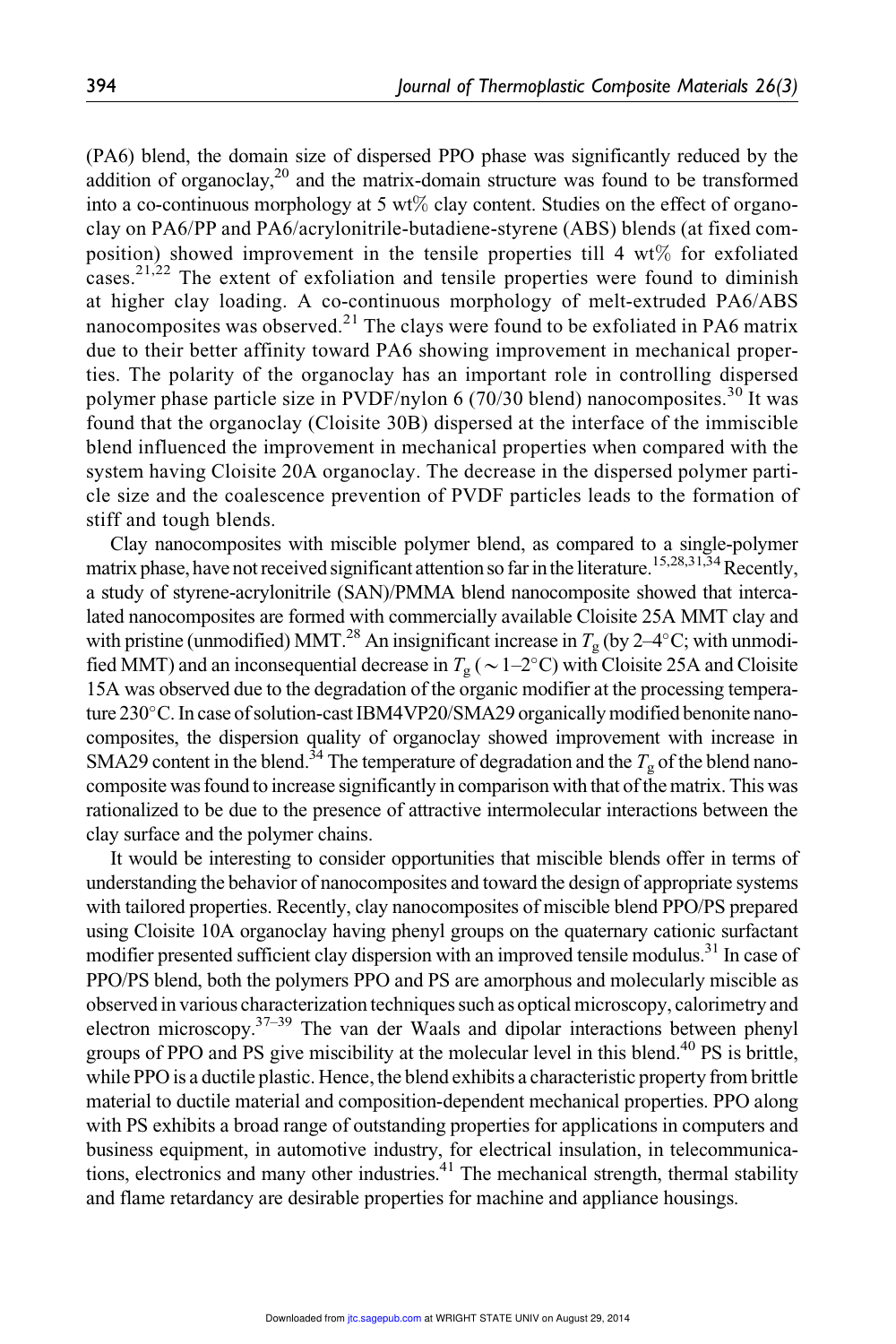(PA6) blend, the domain size of dispersed PPO phase was significantly reduced by the addition of organoclay, $2^0$  and the matrix-domain structure was found to be transformed into a co-continuous morphology at 5 wt% clay content. Studies on the effect of organoclay on PA6/PP and PA6/acrylonitrile-butadiene-styrene (ABS) blends (at fixed composition) showed improvement in the tensile properties till 4 wt% for exfoliated cases.<sup>21,22</sup> The extent of exfoliation and tensile properties were found to diminish at higher clay loading. A co-continuous morphology of melt-extruded PA6/ABS nanocomposites was observed.<sup>21</sup> The clays were found to be exfoliated in PA6 matrix due to their better affinity toward PA6 showing improvement in mechanical properties. The polarity of the organoclay has an important role in controlling dispersed polymer phase particle size in PVDF/nylon 6 (70/30 blend) nanocomposites.<sup>30</sup> It was found that the organoclay (Cloisite 30B) dispersed at the interface of the immiscible blend influenced the improvement in mechanical properties when compared with the system having Cloisite 20A organoclay. The decrease in the dispersed polymer particle size and the coalescence prevention of PVDF particles leads to the formation of stiff and tough blends.

Clay nanocomposites with miscible polymer blend, as compared to a single-polymer matrix phase, have not received significant attention so far in the literature.<sup>15,28,31,34</sup> Recently, a study of styrene-acrylonitrile (SAN)/PMMA blend nanocomposite showed that intercalated nanocomposites are formed with commercially available Cloisite 25A MMT clay and with pristine (unmodified) MMT.<sup>28</sup> An insignificant increase in  $T_{\rm g}$  (by 2–4°C; with unmodified MMT) and an inconsequential decrease in  $T_{\rm g}$  (  $\sim$  1–2°C) with Cloisite 25A and Cloisite 15A was observed due to the degradation of the organic modifier at the processing temperature 230°C. In case of solution-cast IBM4VP20/SMA29 organically modified benonite nanocomposites, the dispersion quality of organoclay showed improvement with increase in SMA29 content in the blend.<sup>34</sup> The temperature of degradation and the  $T_g$  of the blend nanocomposite was found to increase significantly in comparison with that of the matrix. This was rationalized to be due to the presence of attractive intermolecular interactions between the clay surface and the polymer chains.

It would be interesting to consider opportunities that miscible blends offer in terms of understanding the behavior of nanocomposites and toward the design of appropriate systems with tailored properties. Recently, clay nanocomposites of miscible blend PPO/PS prepared using Cloisite 10A organoclay having phenyl groups on the quaternary cationic surfactant modifier presented sufficient clay dispersion with an improved tensile modulus.<sup>31</sup> In case of PPO/PS blend, both the polymers PPO and PS are amorphous and molecularly miscible as observedin various characterization techniques such as optical microscopy, calorimetry and electron microscopy. $37-39$  The van der Waals and dipolar interactions between phenyl groups of PPO and PS give miscibility at the molecular level in this blend.<sup>40</sup> PS is brittle, while PPO is a ductile plastic. Hence, the blend exhibits a characteristic property from brittle material to ductile material and composition-dependent mechanical properties. PPO along with PS exhibits a broad range of outstanding properties for applications in computers and business equipment, in automotive industry, for electrical insulation, in telecommunications, electronics and many other industries. $41$  The mechanical strength, thermal stability and flame retardancy are desirable properties for machine and appliance housings.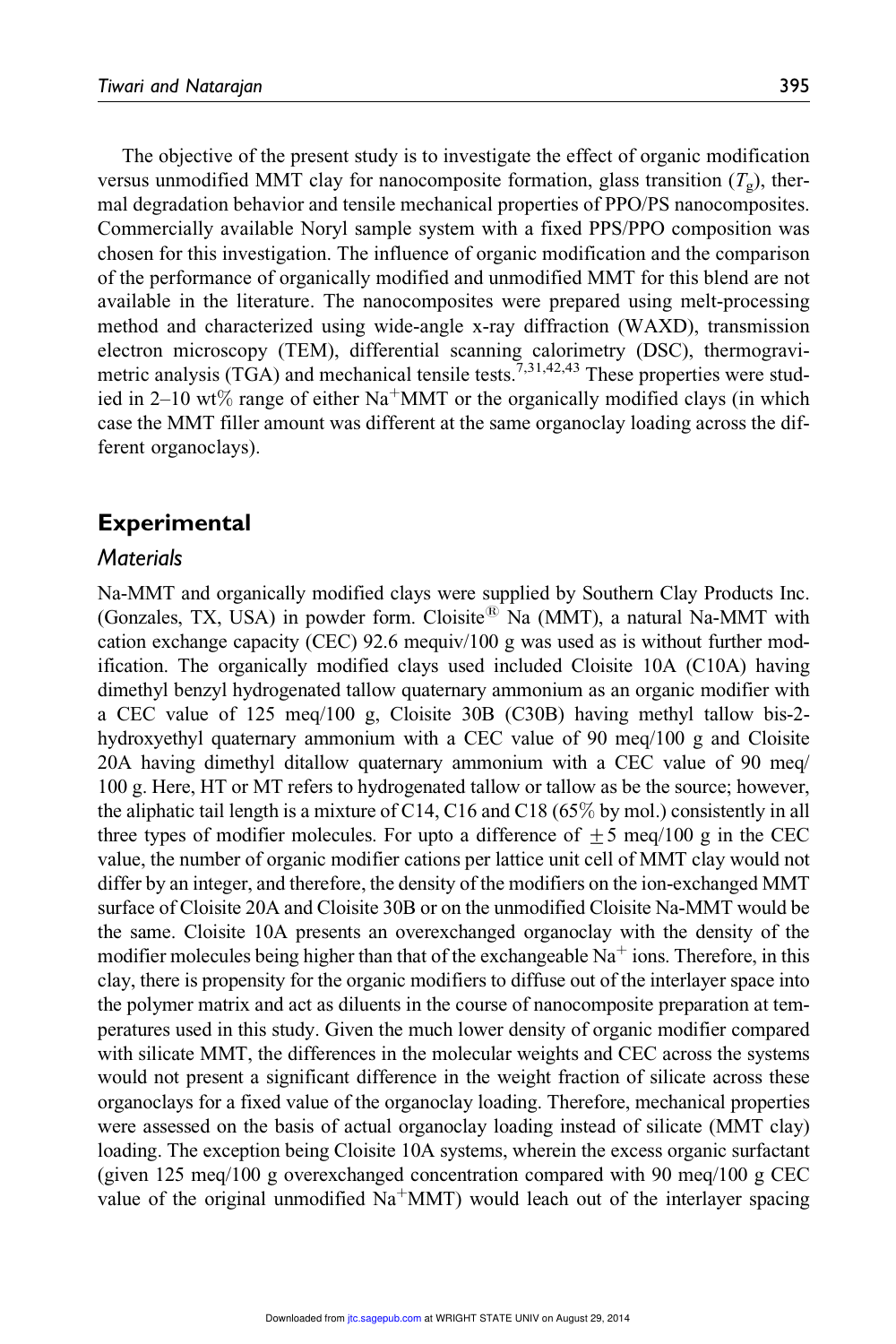The objective of the present study is to investigate the effect of organic modification versus unmodified MMT clay for nanocomposite formation, glass transition  $(T<sub>o</sub>)$ , thermal degradation behavior and tensile mechanical properties of PPO/PS nanocomposites. Commercially available Noryl sample system with a fixed PPS/PPO composition was chosen for this investigation. The influence of organic modification and the comparison of the performance of organically modified and unmodified MMT for this blend are not available in the literature. The nanocomposites were prepared using melt-processing method and characterized using wide-angle x-ray diffraction (WAXD), transmission electron microscopy (TEM), differential scanning calorimetry (DSC), thermogravimetric analysis (TGA) and mechanical tensile tests.<sup>7,31,42,43</sup> These properties were studied in 2–10 wt% range of either Na<sup>+</sup>MMT or the organically modified clays (in which case the MMT filler amount was different at the same organoclay loading across the different organoclays).

# Experimental

# **Materials**

Na-MMT and organically modified clays were supplied by Southern Clay Products Inc. (Gonzales, TX, USA) in powder form. Cloisite<sup>®</sup> Na (MMT), a natural Na-MMT with cation exchange capacity (CEC) 92.6 mequiv/100 g was used as is without further modification. The organically modified clays used included Cloisite 10A (C10A) having dimethyl benzyl hydrogenated tallow quaternary ammonium as an organic modifier with a CEC value of 125 meq/100 g, Cloisite 30B (C30B) having methyl tallow bis-2 hydroxyethyl quaternary ammonium with a CEC value of 90 meq/100 g and Cloisite 20A having dimethyl ditallow quaternary ammonium with a CEC value of 90 meq/ 100 g. Here, HT or MT refers to hydrogenated tallow or tallow as be the source; however, the aliphatic tail length is a mixture of C14, C16 and C18 (65% by mol.) consistently in all three types of modifier molecules. For upto a difference of  $\pm$  5 meq/100 g in the CEC value, the number of organic modifier cations per lattice unit cell of MMT clay would not differ by an integer, and therefore, the density of the modifiers on the ion-exchanged MMT surface of Cloisite 20A and Cloisite 30B or on the unmodified Cloisite Na-MMT would be the same. Cloisite 10A presents an overexchanged organoclay with the density of the modifier molecules being higher than that of the exchangeable  $Na<sup>+</sup>$  ions. Therefore, in this clay, there is propensity for the organic modifiers to diffuse out of the interlayer space into the polymer matrix and act as diluents in the course of nanocomposite preparation at temperatures used in this study. Given the much lower density of organic modifier compared with silicate MMT, the differences in the molecular weights and CEC across the systems would not present a significant difference in the weight fraction of silicate across these organoclays for a fixed value of the organoclay loading. Therefore, mechanical properties were assessed on the basis of actual organoclay loading instead of silicate (MMT clay) loading. The exception being Cloisite 10A systems, wherein the excess organic surfactant (given 125 meq/100 g overexchanged concentration compared with 90 meq/100 g CEC value of the original unmodified  $Na^+MMT$ ) would leach out of the interlayer spacing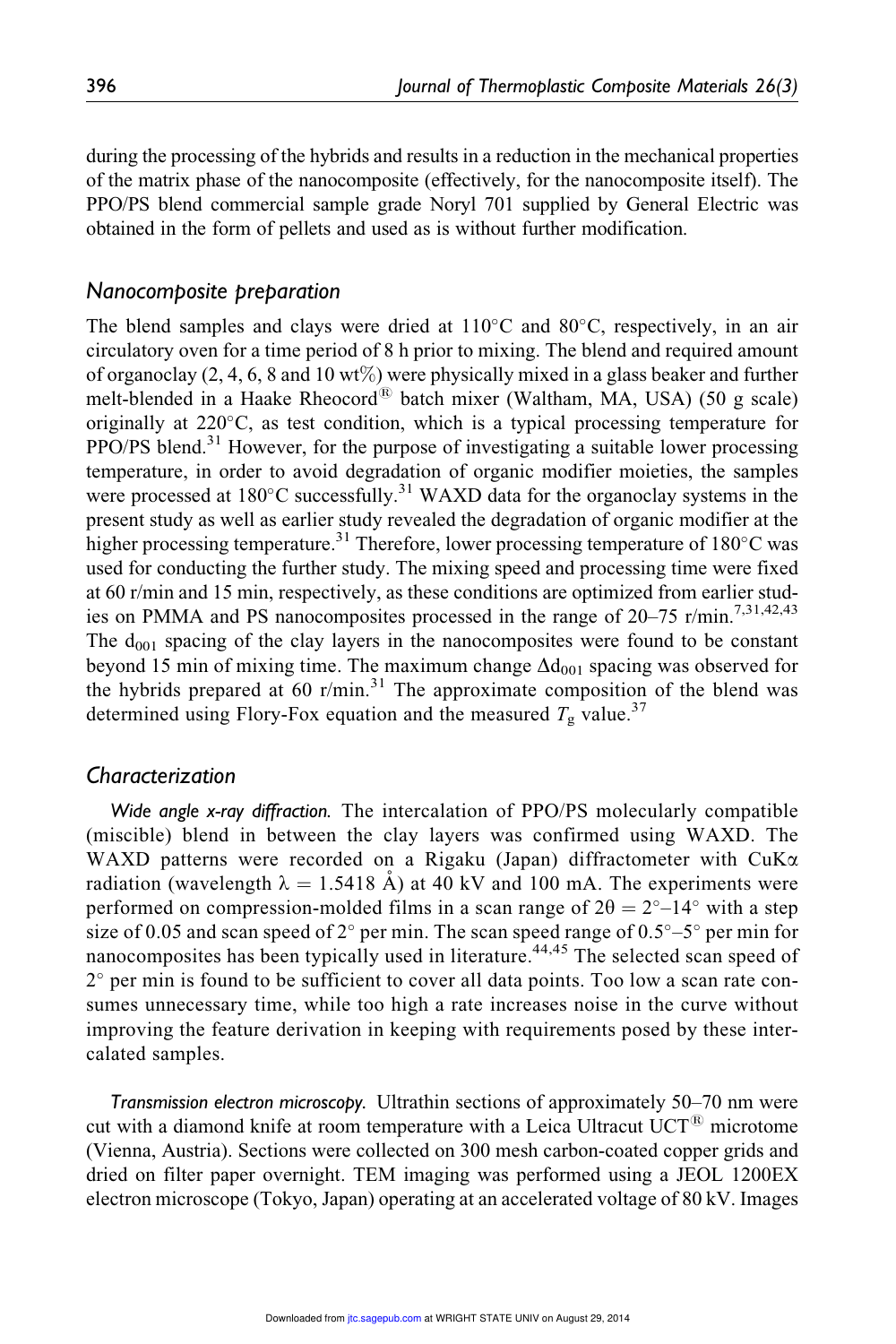during the processing of the hybrids and results in a reduction in the mechanical properties of the matrix phase of the nanocomposite (effectively, for the nanocomposite itself). The PPO/PS blend commercial sample grade Noryl 701 supplied by General Electric was obtained in the form of pellets and used as is without further modification.

#### Nanocomposite preparation

The blend samples and clays were dried at  $110^{\circ}$ C and  $80^{\circ}$ C, respectively, in an air circulatory oven for a time period of 8 h prior to mixing. The blend and required amount of organoclay (2, 4, 6, 8 and 10 wt%) were physically mixed in a glass beaker and further melt-blended in a Haake Rheocord<sup>®</sup> batch mixer (Waltham, MA, USA) (50 g scale) originally at 220°C, as test condition, which is a typical processing temperature for PPO/PS blend.<sup>31</sup> However, for the purpose of investigating a suitable lower processing temperature, in order to avoid degradation of organic modifier moieties, the samples were processed at  $180^{\circ}$ C successfully.<sup>31</sup> WAXD data for the organoclay systems in the present study as well as earlier study revealed the degradation of organic modifier at the higher processing temperature.<sup>31</sup> Therefore, lower processing temperature of 180°C was used for conducting the further study. The mixing speed and processing time were fixed at 60 r/min and 15 min, respectively, as these conditions are optimized from earlier studies on PMMA and PS nanocomposites processed in the range of  $20-75$  r/min.<sup>7,31,42,43</sup> The  $d_{001}$  spacing of the clay layers in the nanocomposites were found to be constant beyond 15 min of mixing time. The maximum change  $\Delta d_{001}$  spacing was observed for the hybrids prepared at 60 r/min.<sup>31</sup> The approximate composition of the blend was determined using Flory-Fox equation and the measured  $T_g$  value.<sup>37</sup>

### Characterization

Wide angle x-ray diffraction. The intercalation of PPO/PS molecularly compatible (miscible) blend in between the clay layers was confirmed using WAXD. The WAXD patterns were recorded on a Rigaku (Japan) diffractometer with CuK $\alpha$ radiation (wavelength  $\lambda = 1.5418 \text{ Å}$ ) at 40 kV and 100 mA. The experiments were performed on compression-molded films in a scan range of  $2\theta = 2^{\circ} - 14^{\circ}$  with a step size of 0.05 and scan speed of 2° per min. The scan speed range of  $0.5^{\circ}$ – $5^{\circ}$  per min for nanocomposites has been typically used in literature.<sup>44,45</sup> The selected scan speed of 2° per min is found to be sufficient to cover all data points. Too low a scan rate consumes unnecessary time, while too high a rate increases noise in the curve without improving the feature derivation in keeping with requirements posed by these intercalated samples.

Transmission electron microscopy. Ultrathin sections of approximately 50–70 nm were cut with a diamond knife at room temperature with a Leica Ultracut  $UCT^{18}$  microtome (Vienna, Austria). Sections were collected on 300 mesh carbon-coated copper grids and dried on filter paper overnight. TEM imaging was performed using a JEOL 1200EX electron microscope (Tokyo, Japan) operating at an accelerated voltage of 80 kV. Images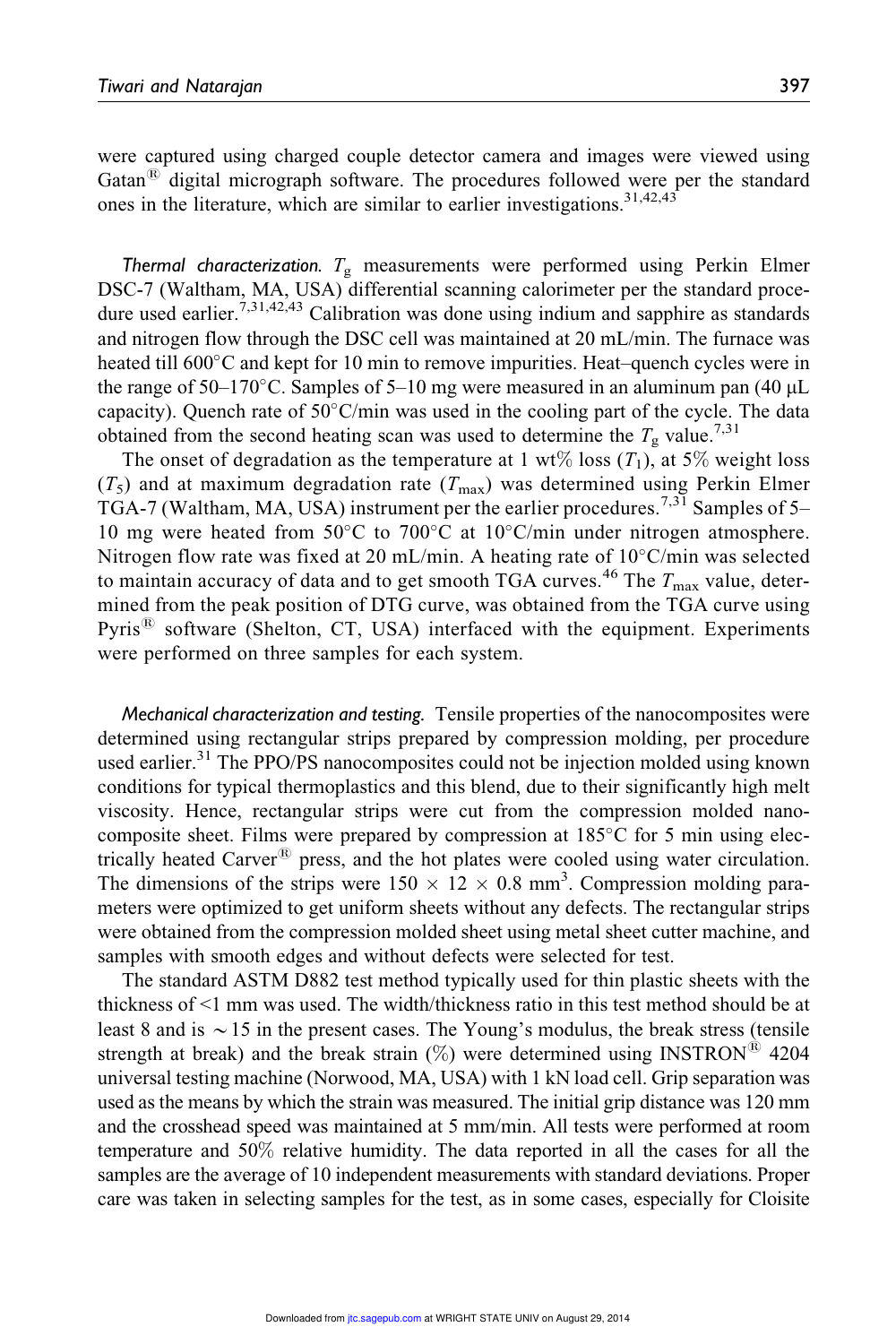were captured using charged couple detector camera and images were viewed using Gatan $\overline{B}$  digital micrograph software. The procedures followed were per the standard ones in the literature, which are similar to earlier investigations.  $31,42,43$ 

Thermal characterization.  $T_{\rm g}$  measurements were performed using Perkin Elmer DSC-7 (Waltham, MA, USA) differential scanning calorimeter per the standard procedure used earlier.<sup>7,31,42,43</sup> Calibration was done using indium and sapphire as standards and nitrogen flow through the DSC cell was maintained at 20 mL/min. The furnace was heated till 600°C and kept for 10 min to remove impurities. Heat-quench cycles were in the range of  $50-170^{\circ}$ C. Samples of  $5-10$  mg were measured in an aluminum pan (40  $\mu$ L capacity). Quench rate of  $50^{\circ}$ C/min was used in the cooling part of the cycle. The data obtained from the second heating scan was used to determine the  $T_g$  value.<sup>7,31</sup>

The onset of degradation as the temperature at 1 wt% loss  $(T_1)$ , at 5% weight loss  $(T_5)$  and at maximum degradation rate  $(T_{\text{max}})$  was determined using Perkin Elmer TGA-7 (Waltham, MA, USA) instrument per the earlier procedures.<sup>7,31</sup> Samples of 5– 10 mg were heated from 50°C to 700°C at 10°C/min under nitrogen atmosphere. Nitrogen flow rate was fixed at 20 mL/min. A heating rate of  $10^{\circ}$ C/min was selected to maintain accuracy of data and to get smooth TGA curves.<sup>46</sup> The  $T_{\text{max}}$  value, determined from the peak position of DTG curve, was obtained from the TGA curve using Pyris $^{(8)}$  software (Shelton, CT, USA) interfaced with the equipment. Experiments were performed on three samples for each system.

Mechanical characterization and testing. Tensile properties of the nanocomposites were determined using rectangular strips prepared by compression molding, per procedure used earlier.<sup>31</sup> The PPO/PS nanocomposites could not be injection molded using known conditions for typical thermoplastics and this blend, due to their significantly high melt viscosity. Hence, rectangular strips were cut from the compression molded nanocomposite sheet. Films were prepared by compression at 185°C for 5 min using electrically heated Carver<sup>®</sup> press, and the hot plates were cooled using water circulation. The dimensions of the strips were  $150 \times 12 \times 0.8$  mm<sup>3</sup>. Compression molding parameters were optimized to get uniform sheets without any defects. The rectangular strips were obtained from the compression molded sheet using metal sheet cutter machine, and samples with smooth edges and without defects were selected for test.

The standard ASTM D882 test method typically used for thin plastic sheets with the thickness of <1 mm was used. The width/thickness ratio in this test method should be at least 8 and is  $\sim$  15 in the present cases. The Young's modulus, the break stress (tensile strength at break) and the break strain  $(\%)$  were determined using INSTRON<sup>®</sup> 4204 universal testing machine (Norwood, MA, USA) with 1 kN load cell. Grip separation was used as the means by which the strain was measured. The initial grip distance was 120 mm and the crosshead speed was maintained at 5 mm/min. All tests were performed at room temperature and 50% relative humidity. The data reported in all the cases for all the samples are the average of 10 independent measurements with standard deviations. Proper care was taken in selecting samples for the test, as in some cases, especially for Cloisite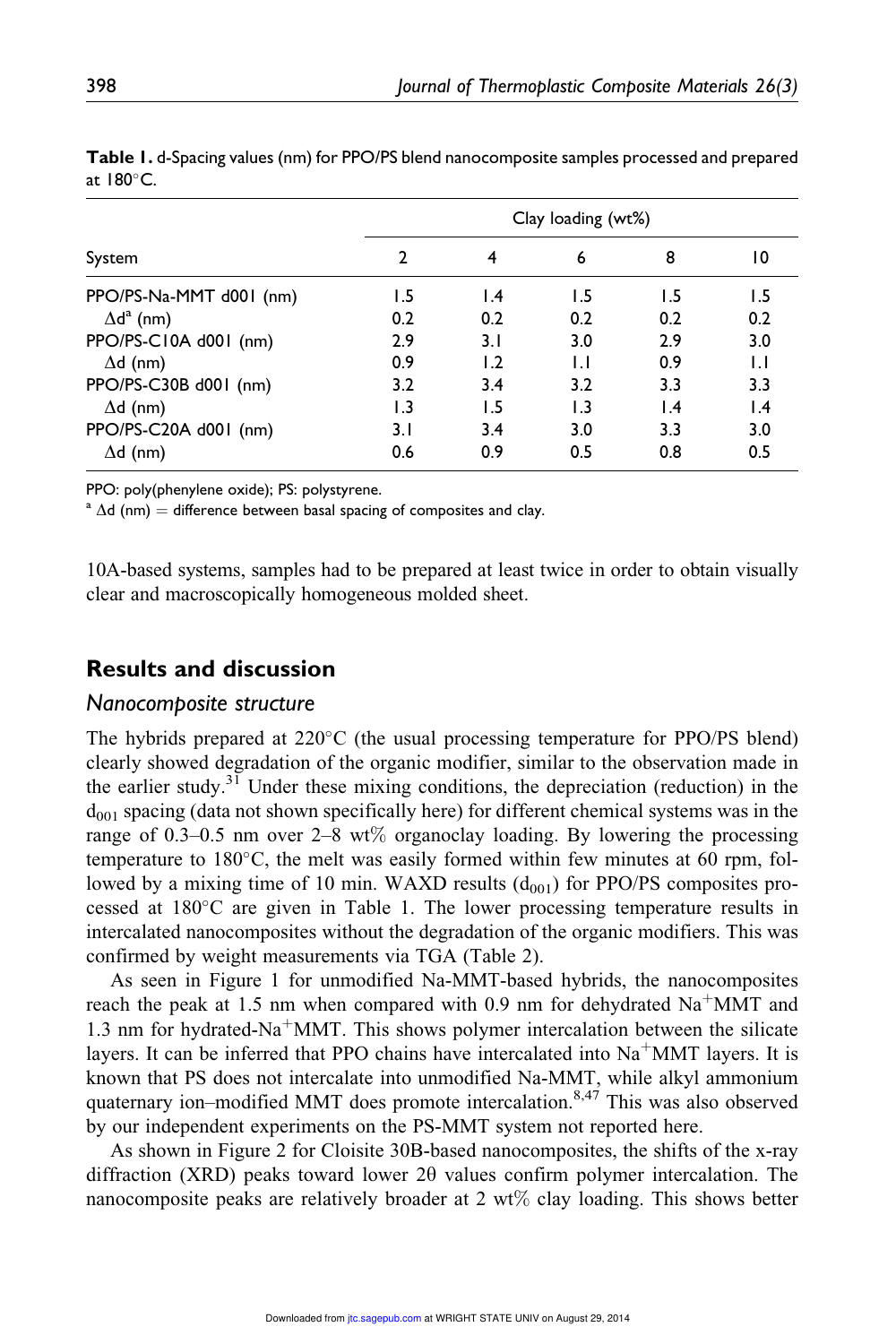|                         | Clay loading (wt%) |     |              |                 |                 |  |
|-------------------------|--------------------|-----|--------------|-----------------|-----------------|--|
| System                  |                    | 4   | 6            | 8               | 10              |  |
| PPO/PS-Na-MMT d001 (nm) | 1.5                | 1.4 | 1.5          | 1.5             | 1.5             |  |
| $\Delta d^a$ (nm)       | 0.2                | 0.2 | 0.2          | 0.2             | 0.2             |  |
| PPO/PS-C10A d001 (nm)   | 2.9                | 3.1 | 3.0          | 2.9             | 3.0             |  |
| $\Delta d$ (nm)         | 0.9                | 1.2 | $\mathsf{L}$ | 0.9             | $\mathsf{L}$    |  |
| PPO/PS-C30B d001 (nm)   | 3.2                | 3.4 | 3.2          | 3.3             | 3.3             |  |
| $\Delta d$ (nm)         | 1.3                | 1.5 | 1.3          | $\mathsf{I}$ .4 | $\mathsf{I}$ .4 |  |
| PPO/PS-C20A d001 (nm)   | 3.1                | 3.4 | 3.0          | 3.3             | 3.0             |  |
| $\Delta d$ (nm)         | 0.6                | 0.9 | 0.5          | 0.8             | 0.5             |  |

Table 1. d-Spacing values (nm) for PPO/PS blend nanocomposite samples processed and prepared at  $180^{\circ}$ C.

PPO: poly(phenylene oxide); PS: polystyrene.

 $a \Delta d$  (nm) = difference between basal spacing of composites and clay.

10A-based systems, samples had to be prepared at least twice in order to obtain visually clear and macroscopically homogeneous molded sheet.

# Results and discussion

#### Nanocomposite structure

The hybrids prepared at 220°C (the usual processing temperature for PPO/PS blend) clearly showed degradation of the organic modifier, similar to the observation made in the earlier study.<sup>31</sup> Under these mixing conditions, the depreciation (reduction) in the  $d_{001}$  spacing (data not shown specifically here) for different chemical systems was in the range of 0.3–0.5 nm over 2–8 wt% organoclay loading. By lowering the processing temperature to 180°C, the melt was easily formed within few minutes at 60 rpm, followed by a mixing time of 10 min. WAXD results  $(d_{001})$  for PPO/PS composites processed at 180°C are given in Table 1. The lower processing temperature results in intercalated nanocomposites without the degradation of the organic modifiers. This was confirmed by weight measurements via TGA (Table 2).

As seen in Figure 1 for unmodified Na-MMT-based hybrids, the nanocomposites reach the peak at 1.5 nm when compared with 0.9 nm for dehydrated  $\text{Na}^+\text{MMT}$  and 1.3 nm for hydrated-Na<sup>+</sup>MMT. This shows polymer intercalation between the silicate layers. It can be inferred that PPO chains have intercalated into  $Na<sup>+</sup>MMT$  layers. It is known that PS does not intercalate into unmodified Na-MMT, while alkyl ammonium quaternary ion–modified MMT does promote intercalation.<sup>8,47</sup> This was also observed by our independent experiments on the PS-MMT system not reported here.

As shown in Figure 2 for Cloisite 30B-based nanocomposites, the shifts of the x-ray diffraction (XRD) peaks toward lower  $2\theta$  values confirm polymer intercalation. The nanocomposite peaks are relatively broader at  $2 \text{ wt\%}$  clay loading. This shows better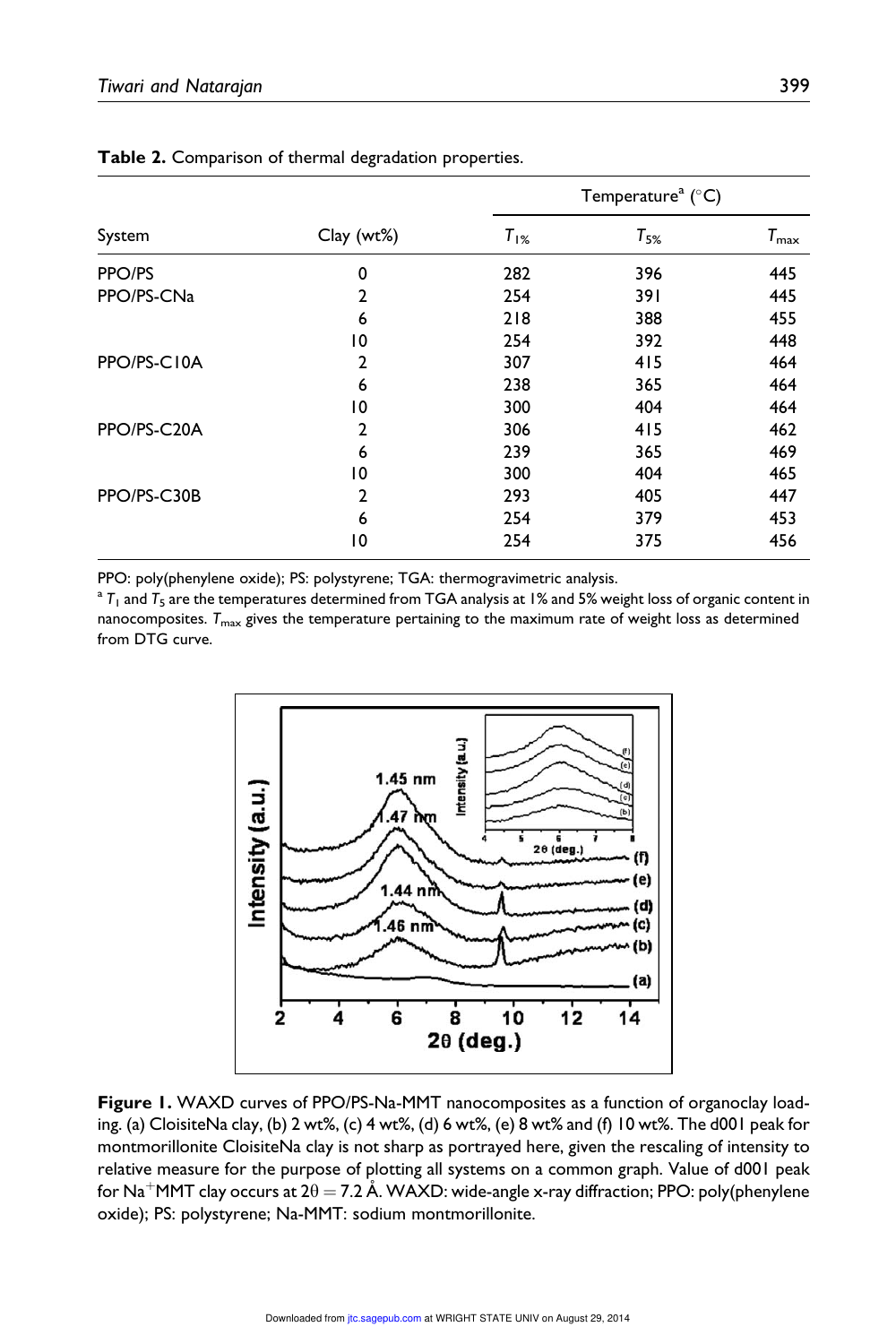|             |                |           | Temperature <sup>a</sup> ( $^{\circ}$ C) |               |  |
|-------------|----------------|-----------|------------------------------------------|---------------|--|
| System      | Clay(wt%)      | $T_{1\%}$ | $T_{5\%}$                                | $T_{\rm max}$ |  |
| PPO/PS      | $\mathbf 0$    | 282       | 396                                      | 445           |  |
| PPO/PS-CNa  | 2              | 254       | 391                                      | 445           |  |
|             | 6              | 218       | 388                                      | 455           |  |
|             | 10             | 254       | 392                                      | 448           |  |
| PPO/PS-C10A | 2              | 307       | 415                                      | 464           |  |
|             | 6              | 238       | 365                                      | 464           |  |
|             | 10             | 300       | 404                                      | 464           |  |
| PPO/PS-C20A | $\overline{2}$ | 306       | 415                                      | 462           |  |
|             | 6              | 239       | 365                                      | 469           |  |
|             | 10             | 300       | 404                                      | 465           |  |
| PPO/PS-C30B | 2              | 293       | 405                                      | 447           |  |
|             | 6              | 254       | 379                                      | 453           |  |
|             | 10             | 254       | 375                                      | 456           |  |

Table 2. Comparison of thermal degradation properties.

PPO: poly(phenylene oxide); PS: polystyrene; TGA: thermogravimetric analysis.

 $^{\rm a}$  T<sub>1</sub> and T<sub>5</sub> are the temperatures determined from TGA analysis at 1% and 5% weight loss of organic content in nanocomposites.  $T_{\text{max}}$  gives the temperature pertaining to the maximum rate of weight loss as determined from DTG curve.



Figure 1. WAXD curves of PPO/PS-Na-MMT nanocomposites as a function of organoclay loading. (a) CloisiteNa clay, (b) 2 wt%, (c) 4 wt%, (d) 6 wt%, (e) 8 wt% and (f) 10 wt%. The d001 peak for montmorillonite CloisiteNa clay is not sharp as portrayed here, given the rescaling of intensity to relative measure for the purpose of plotting all systems on a common graph. Value of d001 peak for Na $^+$ MMT clay occurs at 2 $\theta$   $=$  7.2 Å. WAXD: wide-angle x-ray diffraction; PPO: poly(phenylene oxide); PS: polystyrene; Na-MMT: sodium montmorillonite.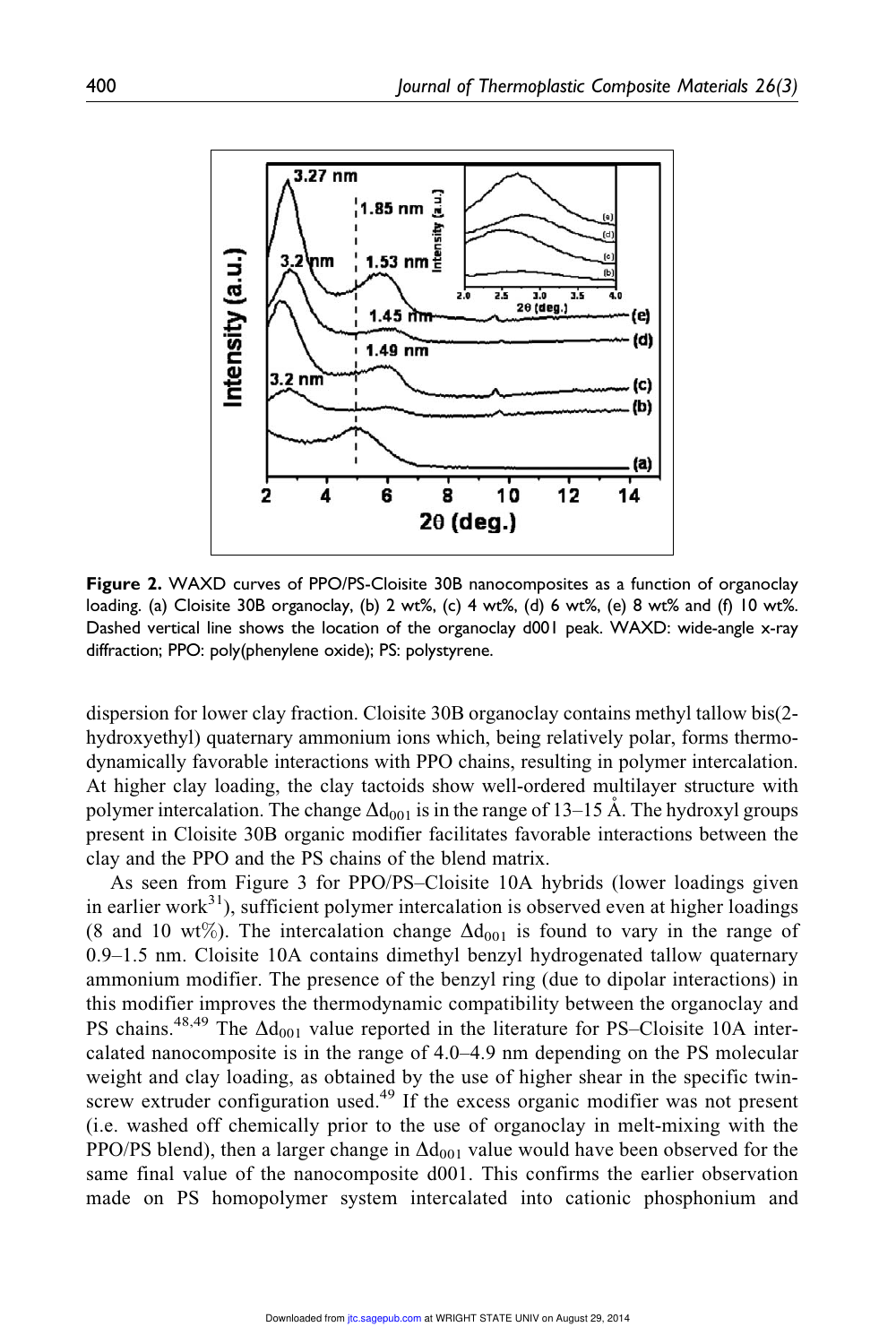

Figure 2. WAXD curves of PPO/PS-Cloisite 30B nanocomposites as a function of organoclay loading. (a) Cloisite 30B organoclay, (b) 2 wt%, (c) 4 wt%, (d) 6 wt%, (e) 8 wt% and (f) 10 wt%. Dashed vertical line shows the location of the organoclay d001 peak. WAXD: wide-angle x-ray diffraction; PPO: poly(phenylene oxide); PS: polystyrene.

dispersion for lower clay fraction. Cloisite 30B organoclay contains methyl tallow bis(2 hydroxyethyl) quaternary ammonium ions which, being relatively polar, forms thermodynamically favorable interactions with PPO chains, resulting in polymer intercalation. At higher clay loading, the clay tactoids show well-ordered multilayer structure with polymer intercalation. The change  $\Delta d_{001}$  is in the range of 13–15 Å. The hydroxyl groups present in Cloisite 30B organic modifier facilitates favorable interactions between the clay and the PPO and the PS chains of the blend matrix.

As seen from Figure 3 for PPO/PS–Cloisite 10A hybrids (lower loadings given in earlier work<sup>31</sup>), sufficient polymer intercalation is observed even at higher loadings (8 and 10 wt%). The intercalation change  $\Delta d_{001}$  is found to vary in the range of 0.9–1.5 nm. Cloisite 10A contains dimethyl benzyl hydrogenated tallow quaternary ammonium modifier. The presence of the benzyl ring (due to dipolar interactions) in this modifier improves the thermodynamic compatibility between the organoclay and PS chains.<sup>48,49</sup> The  $\Delta d_{001}$  value reported in the literature for PS–Cloisite 10A intercalated nanocomposite is in the range of 4.0–4.9 nm depending on the PS molecular weight and clay loading, as obtained by the use of higher shear in the specific twinscrew extruder configuration used.<sup>49</sup> If the excess organic modifier was not present (i.e. washed off chemically prior to the use of organoclay in melt-mixing with the PPO/PS blend), then a larger change in  $\Delta d_{001}$  value would have been observed for the same final value of the nanocomposite d001. This confirms the earlier observation made on PS homopolymer system intercalated into cationic phosphonium and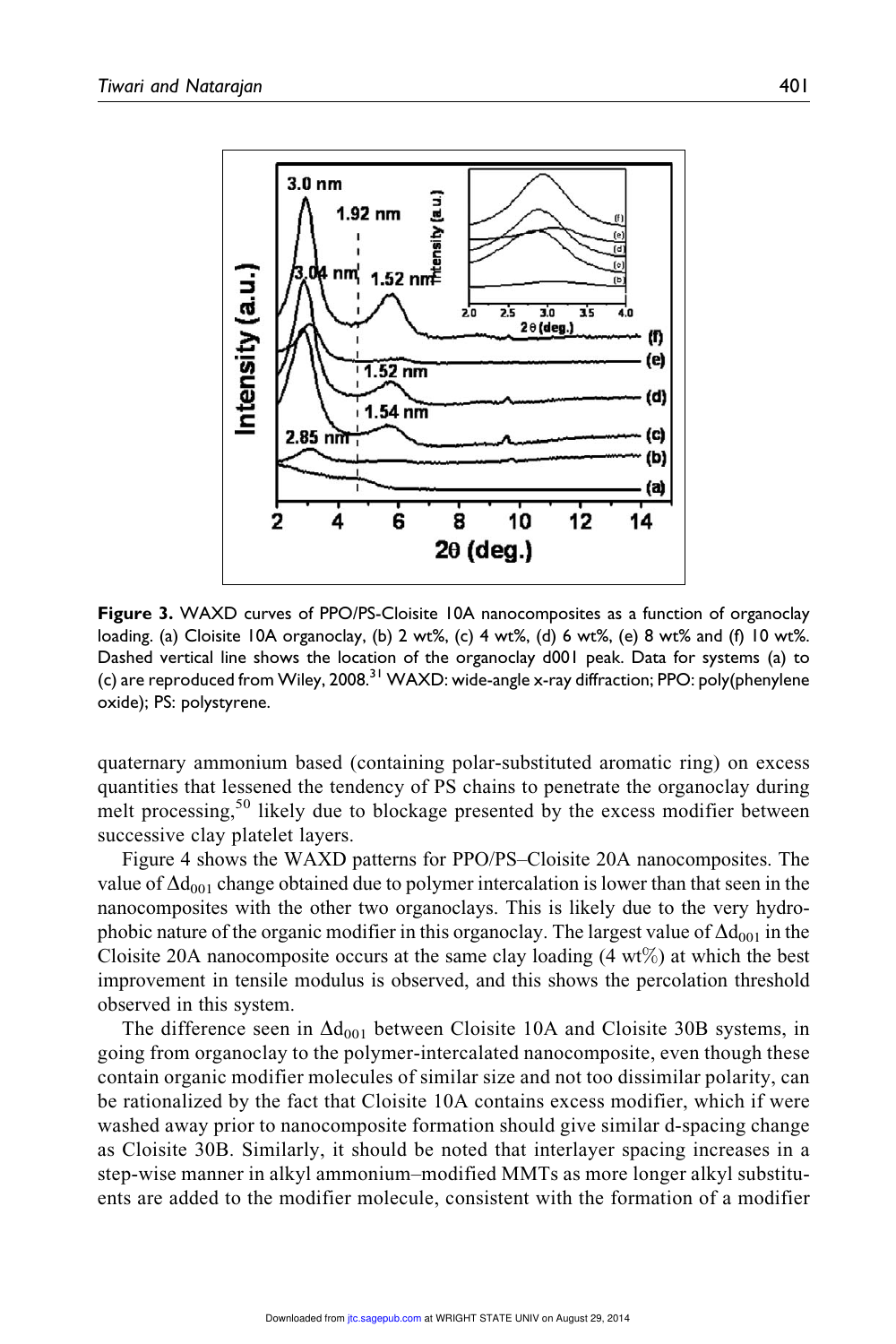

Figure 3. WAXD curves of PPO/PS-Cloisite 10A nanocomposites as a function of organoclay loading. (a) Cloisite 10A organoclay, (b) 2 wt%, (c) 4 wt%, (d) 6 wt%, (e) 8 wt% and (f) 10 wt%. Dashed vertical line shows the location of the organoclay d001 peak. Data for systems (a) to (c) are reproduced from Wiley, 2008.<sup>31</sup> WAXD: wide-angle x-ray diffraction; PPO: poly(phenylene oxide); PS: polystyrene.

quaternary ammonium based (containing polar-substituted aromatic ring) on excess quantities that lessened the tendency of PS chains to penetrate the organoclay during melt processing,<sup>50</sup> likely due to blockage presented by the excess modifier between successive clay platelet layers.

Figure 4 shows the WAXD patterns for PPO/PS–Cloisite 20A nanocomposites. The value of  $\Delta d_{001}$  change obtained due to polymer intercalation is lower than that seen in the nanocomposites with the other two organoclays. This is likely due to the very hydrophobic nature of the organic modifier in this organoclay. The largest value of  $\Delta d_{001}$  in the Cloisite 20A nanocomposite occurs at the same clay loading  $(4 \text{ wt})$  at which the best improvement in tensile modulus is observed, and this shows the percolation threshold observed in this system.

The difference seen in  $\Delta d_{001}$  between Cloisite 10A and Cloisite 30B systems, in going from organoclay to the polymer-intercalated nanocomposite, even though these contain organic modifier molecules of similar size and not too dissimilar polarity, can be rationalized by the fact that Cloisite 10A contains excess modifier, which if were washed away prior to nanocomposite formation should give similar d-spacing change as Cloisite 30B. Similarly, it should be noted that interlayer spacing increases in a step-wise manner in alkyl ammonium–modified MMTs as more longer alkyl substituents are added to the modifier molecule, consistent with the formation of a modifier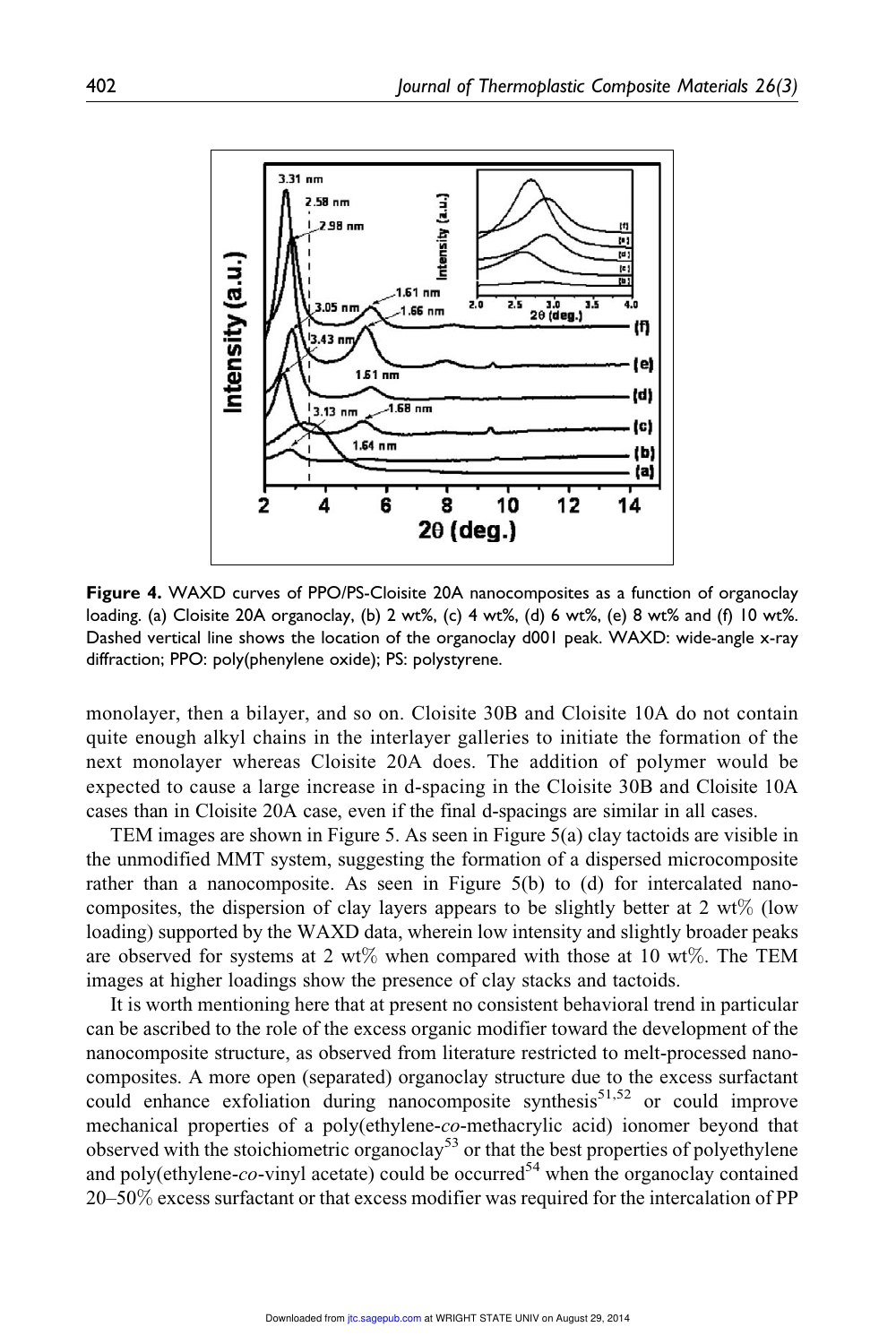

Figure 4. WAXD curves of PPO/PS-Cloisite 20A nanocomposites as a function of organoclay loading. (a) Cloisite 20A organoclay, (b) 2 wt%, (c) 4 wt%, (d) 6 wt%, (e) 8 wt% and (f) 10 wt%. Dashed vertical line shows the location of the organoclay d001 peak. WAXD: wide-angle x-ray diffraction; PPO: poly(phenylene oxide); PS: polystyrene.

monolayer, then a bilayer, and so on. Cloisite 30B and Cloisite 10A do not contain quite enough alkyl chains in the interlayer galleries to initiate the formation of the next monolayer whereas Cloisite 20A does. The addition of polymer would be expected to cause a large increase in d-spacing in the Cloisite 30B and Cloisite 10A cases than in Cloisite 20A case, even if the final d-spacings are similar in all cases.

TEM images are shown in Figure 5. As seen in Figure 5(a) clay tactoids are visible in the unmodified MMT system, suggesting the formation of a dispersed microcomposite rather than a nanocomposite. As seen in Figure 5(b) to (d) for intercalated nanocomposites, the dispersion of clay layers appears to be slightly better at  $2 \text{ wt\%}$  (low loading) supported by the WAXD data, wherein low intensity and slightly broader peaks are observed for systems at 2 wt% when compared with those at 10 wt%. The TEM images at higher loadings show the presence of clay stacks and tactoids.

It is worth mentioning here that at present no consistent behavioral trend in particular can be ascribed to the role of the excess organic modifier toward the development of the nanocomposite structure, as observed from literature restricted to melt-processed nanocomposites. A more open (separated) organoclay structure due to the excess surfactant could enhance exfoliation during nanocomposite synthesis<sup>51,52</sup> or could improve mechanical properties of a poly(ethylene-co-methacrylic acid) ionomer beyond that observed with the stoichiometric organoclay<sup>53</sup> or that the best properties of polyethylene and poly(ethylene-co-vinyl acetate) could be occurred<sup>54</sup> when the organoclay contained 20–50% excess surfactant or that excess modifier was required for the intercalation of PP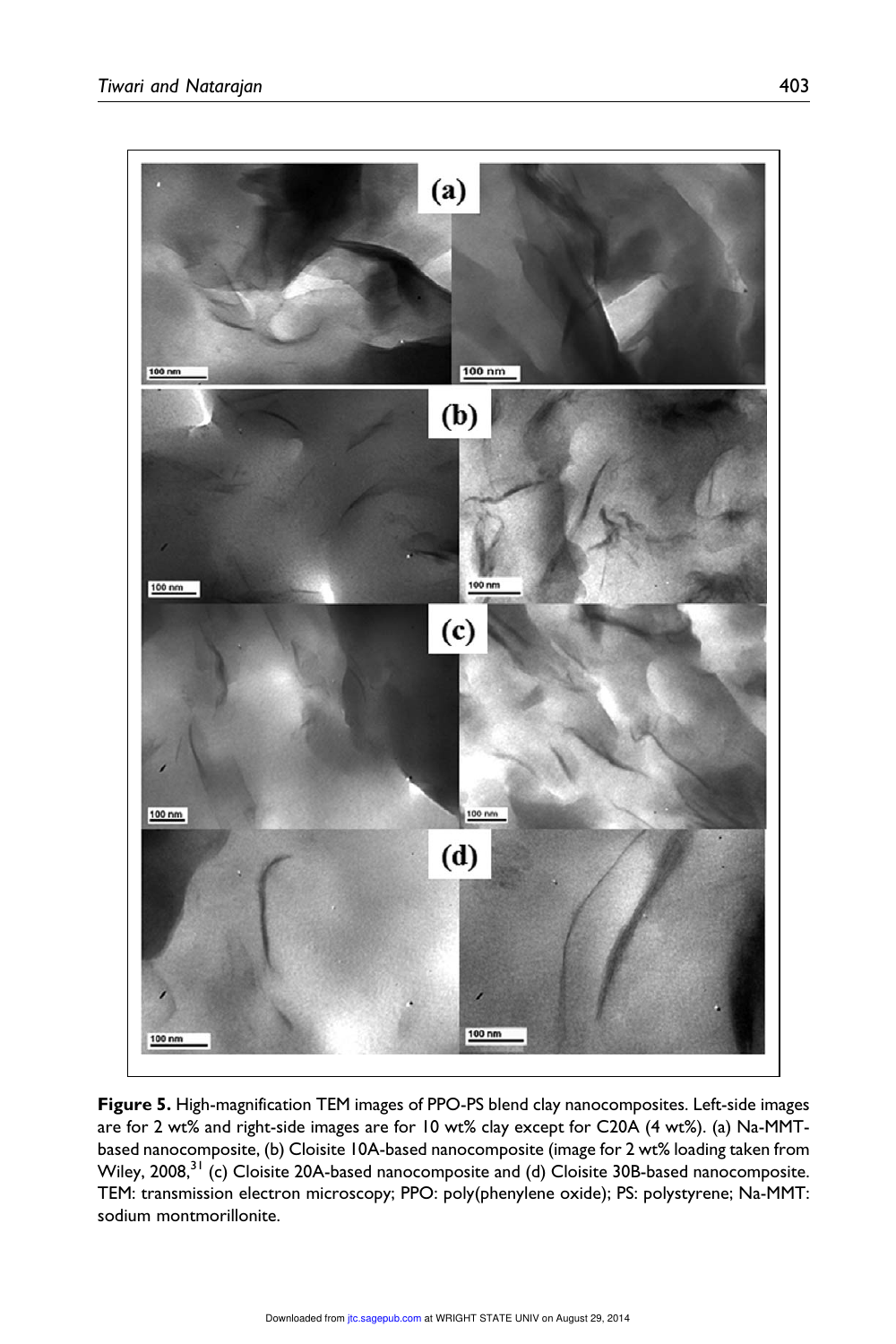

Figure 5. High-magnification TEM images of PPO-PS blend clay nanocomposites. Left-side images are for 2 wt% and right-side images are for 10 wt% clay except for C20A (4 wt%). (a) Na-MMTbased nanocomposite, (b) Cloisite 10A-based nanocomposite (image for 2 wt% loading taken from Wiley, 2008,<sup>31</sup> (c) Cloisite 20A-based nanocomposite and (d) Cloisite 30B-based nanocomposite. TEM: transmission electron microscopy; PPO: poly(phenylene oxide); PS: polystyrene; Na-MMT: sodium montmorillonite.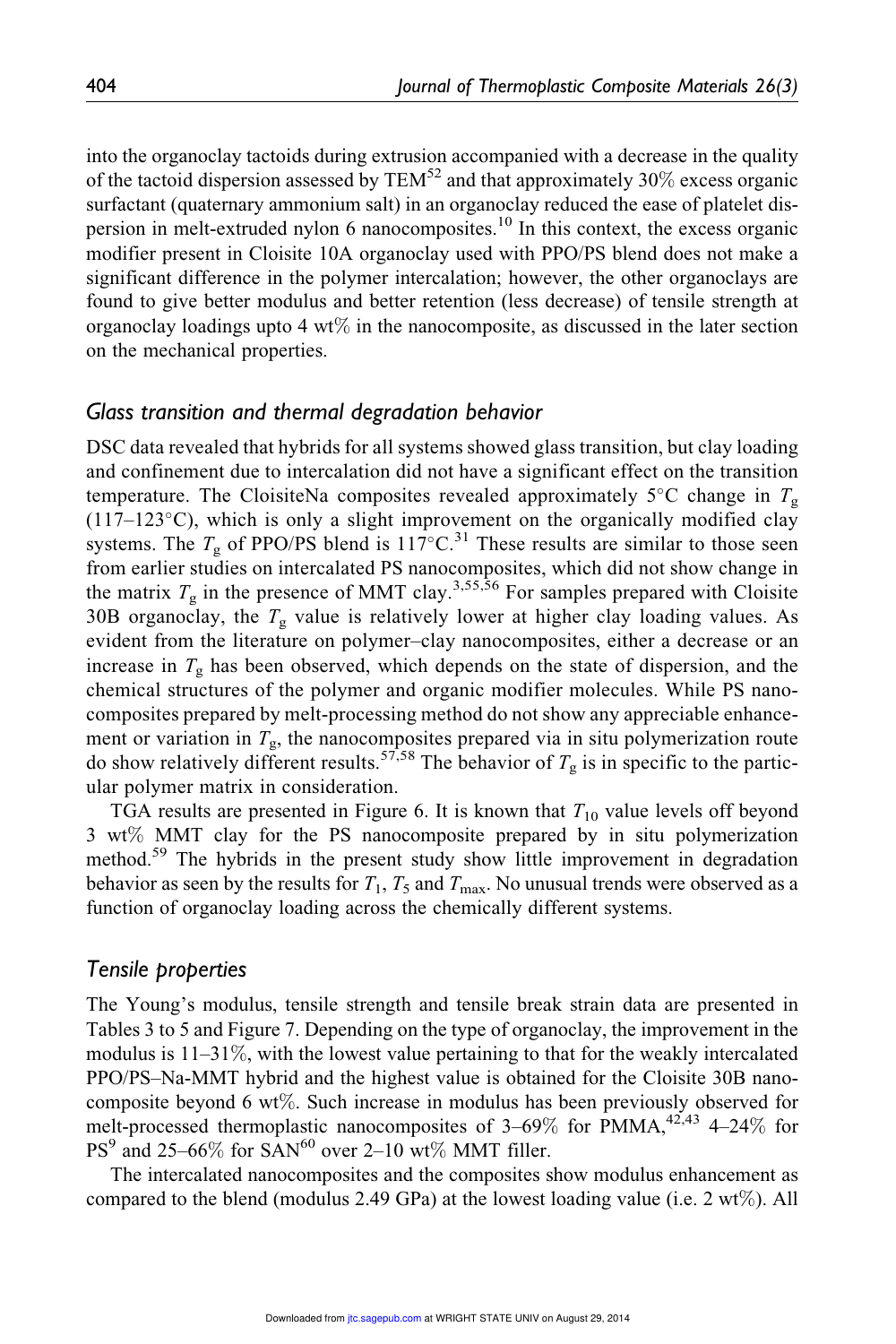into the organoclay tactoids during extrusion accompanied with a decrease in the quality of the tactoid dispersion assessed by TEM<sup>52</sup> and that approximately 30% excess organic surfactant (quaternary ammonium salt) in an organoclay reduced the ease of platelet dispersion in melt-extruded nylon 6 nanocomposites.<sup>10</sup> In this context, the excess organic modifier present in Cloisite 10A organoclay used with PPO/PS blend does not make a significant difference in the polymer intercalation; however, the other organoclays are found to give better modulus and better retention (less decrease) of tensile strength at organoclay loadings upto 4 wt% in the nanocomposite, as discussed in the later section on the mechanical properties.

#### Glass transition and thermal degradation behavior

DSC data revealed that hybrids for all systems showed glass transition, but clay loading and confinement due to intercalation did not have a significant effect on the transition temperature. The CloisiteNa composites revealed approximately  $5^{\circ}$ C change in  $T_{g}$  $(117-123\textdegree C)$ , which is only a slight improvement on the organically modified clay systems. The  $T_{\rm g}$  of PPO/PS blend is 117°C.<sup>31</sup> These results are similar to those seen from earlier studies on intercalated PS nanocomposites, which did not show change in the matrix  $T_{\rm g}$  in the presence of MMT clay.<sup>3,55,56</sup> For samples prepared with Cloisite 30B organoclay, the  $T_g$  value is relatively lower at higher clay loading values. As evident from the literature on polymer–clay nanocomposites, either a decrease or an increase in  $T_g$  has been observed, which depends on the state of dispersion, and the chemical structures of the polymer and organic modifier molecules. While PS nanocomposites prepared by melt-processing method do not show any appreciable enhancement or variation in  $T_{g}$ , the nanocomposites prepared via in situ polymerization route do show relatively different results.<sup>57,58</sup> The behavior of  $T_g$  is in specific to the particular polymer matrix in consideration.

TGA results are presented in Figure 6. It is known that  $T_{10}$  value levels off beyond 3 wt% MMT clay for the PS nanocomposite prepared by in situ polymerization method.<sup>59</sup> The hybrids in the present study show little improvement in degradation behavior as seen by the results for  $T_1$ ,  $T_5$  and  $T_{\text{max}}$ . No unusual trends were observed as a function of organoclay loading across the chemically different systems.

#### Tensile properties

The Young's modulus, tensile strength and tensile break strain data are presented in Tables 3 to 5 and Figure 7. Depending on the type of organoclay, the improvement in the modulus is  $11-31\%$ , with the lowest value pertaining to that for the weakly intercalated PPO/PS–Na-MMT hybrid and the highest value is obtained for the Cloisite 30B nanocomposite beyond 6 wt%. Such increase in modulus has been previously observed for melt-processed thermoplastic nanocomposites of  $3-69\%$  for PMMA,  $42.43$  4–24% for  $PS<sup>9</sup>$  and 25–66% for SAN<sup>60</sup> over 2–10 wt% MMT filler.

The intercalated nanocomposites and the composites show modulus enhancement as compared to the blend (modulus 2.49 GPa) at the lowest loading value (i.e. 2 wt $\%$ ). All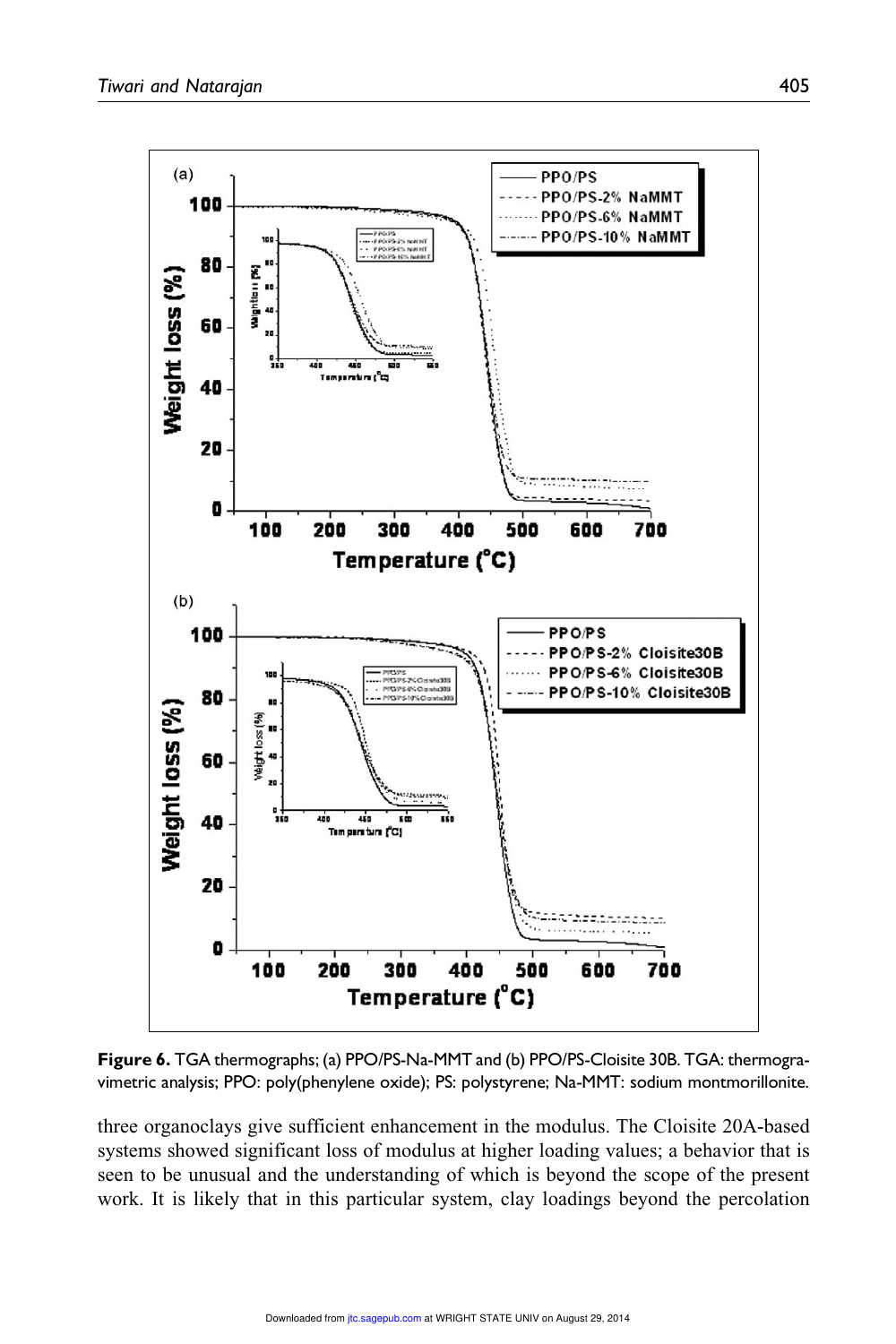

Figure 6. TGA thermographs; (a) PPO/PS-Na-MMT and (b) PPO/PS-Cloisite 30B. TGA: thermogravimetric analysis; PPO: poly(phenylene oxide); PS: polystyrene; Na-MMT: sodium montmorillonite.

three organoclays give sufficient enhancement in the modulus. The Cloisite 20A-based systems showed significant loss of modulus at higher loading values; a behavior that is seen to be unusual and the understanding of which is beyond the scope of the present work. It is likely that in this particular system, clay loadings beyond the percolation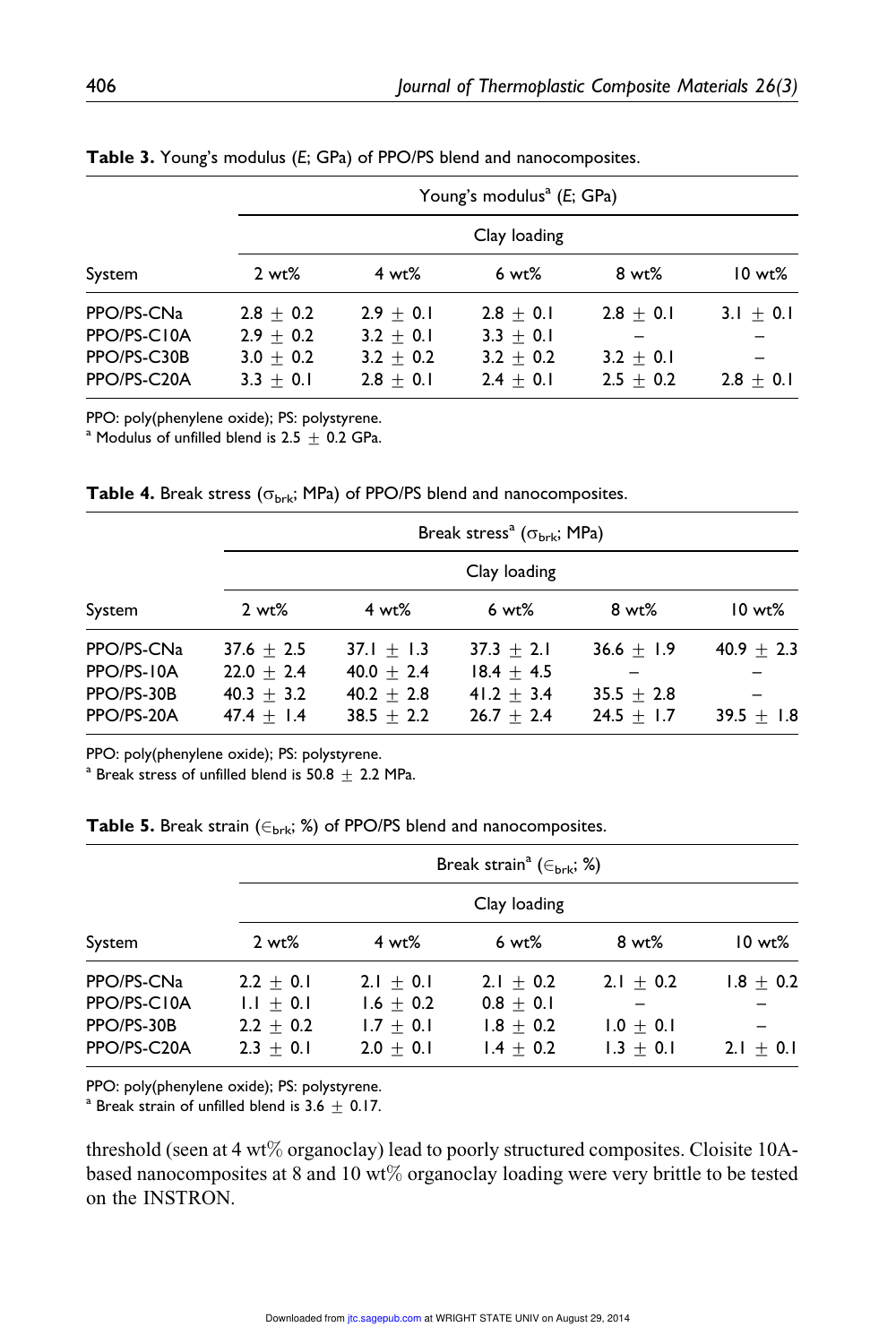|             |              |               | Young's modulus <sup>a</sup> (E; GPa) |             |             |
|-------------|--------------|---------------|---------------------------------------|-------------|-------------|
|             | Clay loading |               |                                       |             |             |
| System      | $2 wt\%$     | $4 wt\%$      | 6 wt%                                 | 8 wt%       | $10 wt\%$   |
| PPO/PS-CNa  | $2.8 + 0.2$  | $2.9 + 0.1$   | $2.8 + 0.1$                           | $2.8 + 0.1$ | $3.1 + 0.1$ |
| PPO/PS-C10A | $2.9 + 0.2$  | $3.2 \pm 0.1$ | $3.3 + 0.1$                           |             |             |
| PPO/PS-C30B | $3.0 + 0.2$  | $3.2 + 0.2$   | $3.2 + 0.2$                           | $3.2 + 0.1$ |             |
| PPO/PS-C20A | $3.3 + 0.1$  | $2.8 + 0.1$   | $2.4 + 0.1$                           | $2.5 + 0.2$ | $2.8 + 0.1$ |

Table 3. Young's modulus (E; GPa) of PPO/PS blend and nanocomposites.

PPO: poly(phenylene oxide); PS: polystyrene.

<sup>a</sup> Modulus of unfilled blend is  $2.5 + 0.2$  GPa.

| System                   |                              |                              | Break stress <sup>a</sup> ( $\sigma_{\text{brk}}$ ; MPa) |                              |              |  |  |
|--------------------------|------------------------------|------------------------------|----------------------------------------------------------|------------------------------|--------------|--|--|
|                          |                              | Clay loading                 |                                                          |                              |              |  |  |
|                          | $2 wt\%$                     | $4 wt\%$                     | $6 wt\%$                                                 | $8 wt\%$                     | $10 wt\%$    |  |  |
| PPO/PS-CNa               | $37.6 + 2.5$                 | $37.1 + 1.3$                 | $37.3 + 2.1$                                             | $36.6 + 1.9$                 | $40.9 + 2.3$ |  |  |
| PPO/PS-10A               | $22.0 + 2.4$                 | $40.0 + 2.4$                 | $18.4 + 4.5$                                             |                              |              |  |  |
| PPO/PS-30B<br>PPO/PS-20A | $40.3 + 3.2$<br>$47.4 + 1.4$ | $40.2 + 2.8$<br>$38.5 + 2.2$ | $41.2 + 3.4$<br>$26.7 + 2.4$                             | $35.5 + 2.8$<br>$24.5 + 1.7$ | $39.5 + 1.8$ |  |  |

PPO: poly(phenylene oxide); PS: polystyrene.

 $^{\rm a}$  Break stress of unfilled blend is  $50.8~\pm~2.2$  MPa.

|  | <b>Table 5.</b> Break strain ( $\in_{\text{brk}}$ ; %) of PPO/PS blend and nanocomposites. |
|--|--------------------------------------------------------------------------------------------|
|--|--------------------------------------------------------------------------------------------|

|                                                        |                                                          |                                                          | Break strain <sup>a</sup> ( $\in$ <sub>brk</sub> ; %)    |                                           |                              |  |  |
|--------------------------------------------------------|----------------------------------------------------------|----------------------------------------------------------|----------------------------------------------------------|-------------------------------------------|------------------------------|--|--|
|                                                        | Clay loading                                             |                                                          |                                                          |                                           |                              |  |  |
| System                                                 | $2 wt\%$                                                 | $4 wt\%$                                                 | 6 wt%                                                    | 8 wt%                                     | $10 wt\%$                    |  |  |
| PPO/PS-CNa<br>PPO/PS-C10A<br>PPO/PS-30B<br>PPO/PS-C20A | $2.2 + 0.1$<br>$1.1 + 0.1$<br>$2.2 + 0.2$<br>$2.3 + 0.1$ | $2.1 + 0.1$<br>$1.6 + 0.2$<br>$1.7 + 0.1$<br>$2.0 + 0.1$ | $2.1 + 0.2$<br>$0.8 + 0.1$<br>$1.8 + 0.2$<br>$1.4 + 0.2$ | $2.1 + 0.2$<br>$1.0 + 0.1$<br>$1.3 + 0.1$ | $1.8 \pm 0.2$<br>$2.1 + 0.1$ |  |  |

PPO: poly(phenylene oxide); PS: polystyrene.

<sup>a</sup> Break strain of unfilled blend is 3.6  $\pm$  0.17.

threshold (seen at 4 wt% organoclay) lead to poorly structured composites. Cloisite 10Abased nanocomposites at 8 and 10 wt% organoclay loading were very brittle to be tested on the INSTRON.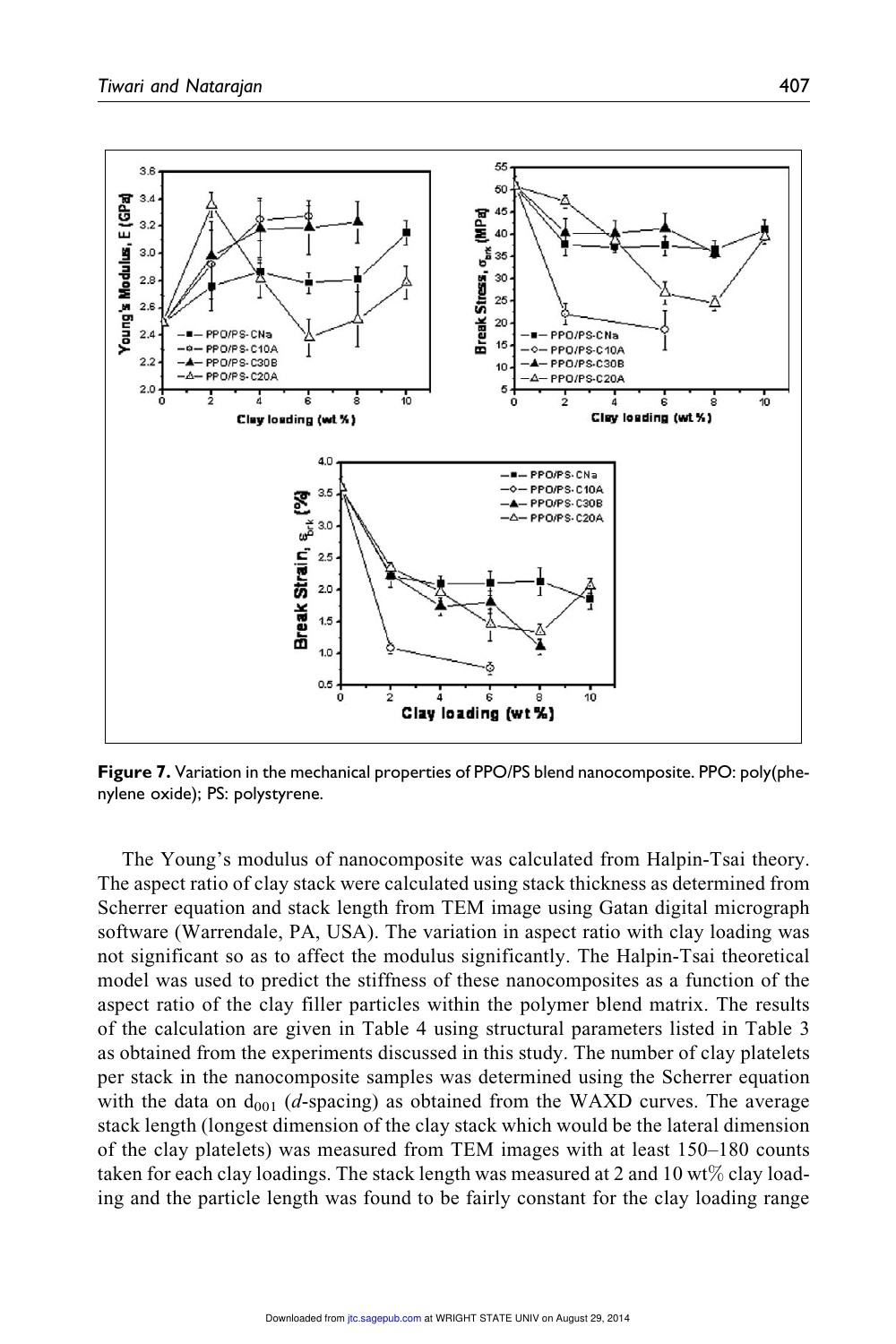

Figure 7. Variation in the mechanical properties of PPO/PS blend nanocomposite. PPO: poly(phenylene oxide); PS: polystyrene.

The Young's modulus of nanocomposite was calculated from Halpin-Tsai theory. The aspect ratio of clay stack were calculated using stack thickness as determined from Scherrer equation and stack length from TEM image using Gatan digital micrograph software (Warrendale, PA, USA). The variation in aspect ratio with clay loading was not significant so as to affect the modulus significantly. The Halpin-Tsai theoretical model was used to predict the stiffness of these nanocomposites as a function of the aspect ratio of the clay filler particles within the polymer blend matrix. The results of the calculation are given in Table 4 using structural parameters listed in Table 3 as obtained from the experiments discussed in this study. The number of clay platelets per stack in the nanocomposite samples was determined using the Scherrer equation with the data on  $d_{001}$  (d-spacing) as obtained from the WAXD curves. The average stack length (longest dimension of the clay stack which would be the lateral dimension of the clay platelets) was measured from TEM images with at least 150–180 counts taken for each clay loadings. The stack length was measured at 2 and 10 wt $\%$  clay loading and the particle length was found to be fairly constant for the clay loading range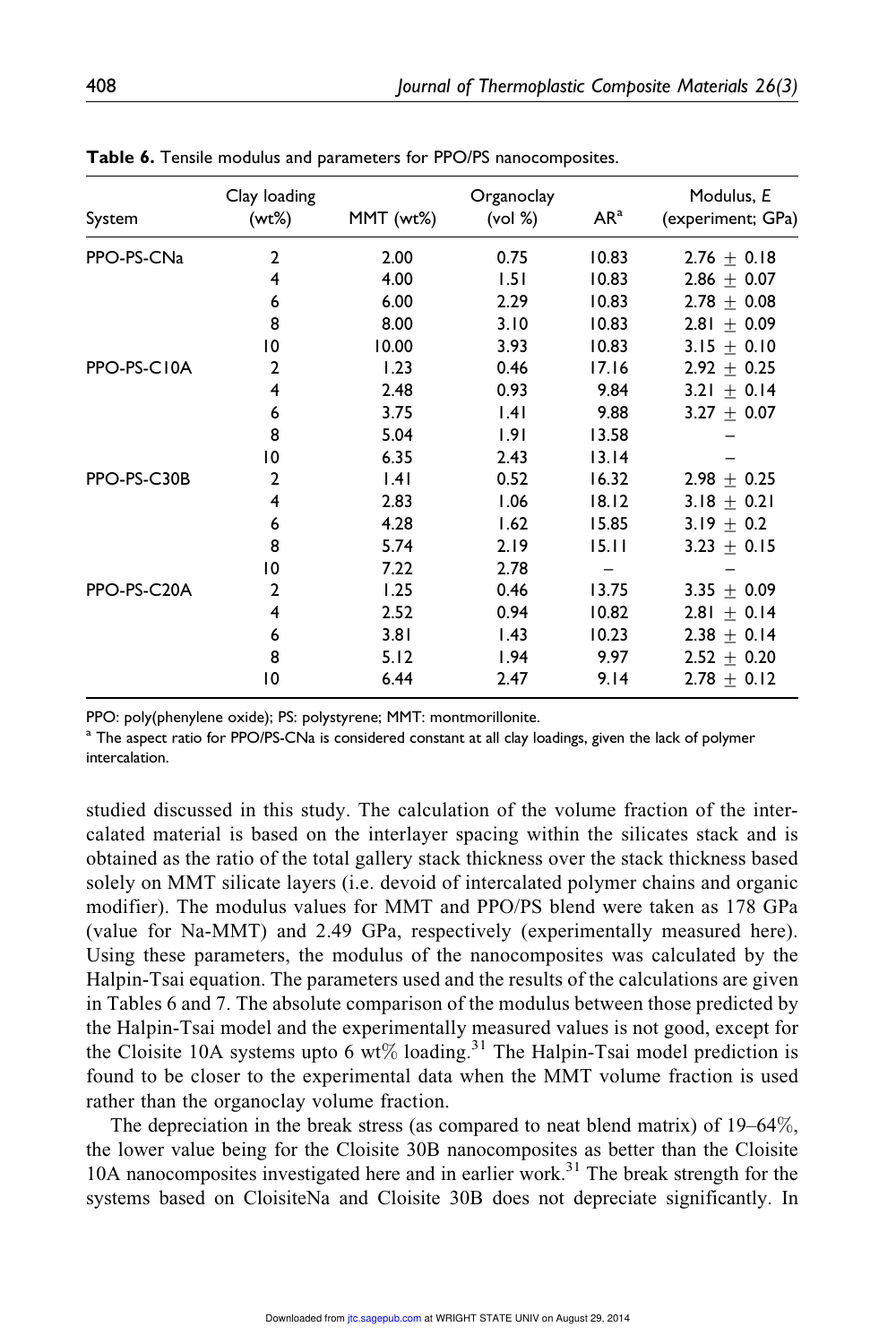| System      | Clay loading<br>(wt%)   | MMT (wt%) | Organoclay<br>(vol %) | AR <sup>a</sup> | Modulus, E<br>(experiment; GPa) |
|-------------|-------------------------|-----------|-----------------------|-----------------|---------------------------------|
| PPO-PS-CNa  | $\overline{2}$          | 2.00      | 0.75                  | 10.83           | $2.76 \pm 0.18$                 |
|             | 4                       | 4.00      | 1.51                  | 10.83           | $2.86 \pm 0.07$                 |
|             | 6                       | 6.00      | 2.29                  | 10.83           | $2.78 + 0.08$                   |
|             | 8                       | 8.00      | 3.10                  | 10.83           | $2.81 \pm 0.09$                 |
|             | $\overline{0}$          | 10.00     | 3.93                  | 10.83           | $3.15 \pm 0.10$                 |
| PPO-PS-C10A | $\overline{2}$          | 1.23      | 0.46                  | 17.16           | $2.92 \pm 0.25$                 |
|             | $\overline{\mathbf{4}}$ | 2.48      | 0.93                  | 9.84            | 3.21 $\pm$ 0.14                 |
|             | 6                       | 3.75      | .4                    | 9.88            | $3.27 + 0.07$                   |
|             | 8                       | 5.04      | 1.91                  | 13.58           |                                 |
|             | $\overline{0}$          | 6.35      | 2.43                  | 13.14           |                                 |
| PPO-PS-C30B | 2                       | 1.41      | 0.52                  | 16.32           | $2.98 \pm 0.25$                 |
|             | 4                       | 2.83      | 1.06                  | 18.12           | 3.18 $\pm$ 0.21                 |
|             | 6                       | 4.28      | 1.62                  | 15.85           | 3.19 $\pm$ 0.2                  |
|             | 8                       | 5.74      | 2.19                  | 15.11           | 3.23 $\pm$ 0.15                 |
|             | $\overline{0}$          | 7.22      | 2.78                  |                 |                                 |
| PPO-PS-C20A | $\overline{2}$          | 1.25      | 0.46                  | 13.75           | $3.35 + 0.09$                   |
|             | 4                       | 2.52      | 0.94                  | 10.82           | $2.81 \pm 0.14$                 |
|             | 6                       | 3.81      | 1.43                  | 10.23           | $2.38 + 0.14$                   |
|             | 8                       | 5.12      | 1.94                  | 9.97            | $2.52 + 0.20$                   |
|             | $\overline{0}$          | 6.44      | 2.47                  | 9.14            | $2.78 \pm 0.12$                 |

Table 6. Tensile modulus and parameters for PPO/PS nanocomposites.

PPO: poly(phenylene oxide); PS: polystyrene; MMT: montmorillonite.

 $^{\rm a}$  The aspect ratio for PPO/PS-CNa is considered constant at all clay loadings, given the lack of polymer intercalation.

studied discussed in this study. The calculation of the volume fraction of the intercalated material is based on the interlayer spacing within the silicates stack and is obtained as the ratio of the total gallery stack thickness over the stack thickness based solely on MMT silicate layers (i.e. devoid of intercalated polymer chains and organic modifier). The modulus values for MMT and PPO/PS blend were taken as 178 GPa (value for Na-MMT) and 2.49 GPa, respectively (experimentally measured here). Using these parameters, the modulus of the nanocomposites was calculated by the Halpin-Tsai equation. The parameters used and the results of the calculations are given in Tables 6 and 7. The absolute comparison of the modulus between those predicted by the Halpin-Tsai model and the experimentally measured values is not good, except for the Cloisite 10A systems upto 6 wt% loading.<sup>31</sup> The Halpin-Tsai model prediction is found to be closer to the experimental data when the MMT volume fraction is used rather than the organoclay volume fraction.

The depreciation in the break stress (as compared to neat blend matrix) of 19–64%, the lower value being for the Cloisite 30B nanocomposites as better than the Cloisite 10A nanocomposites investigated here and in earlier work.<sup>31</sup> The break strength for the systems based on CloisiteNa and Cloisite 30B does not depreciate significantly. In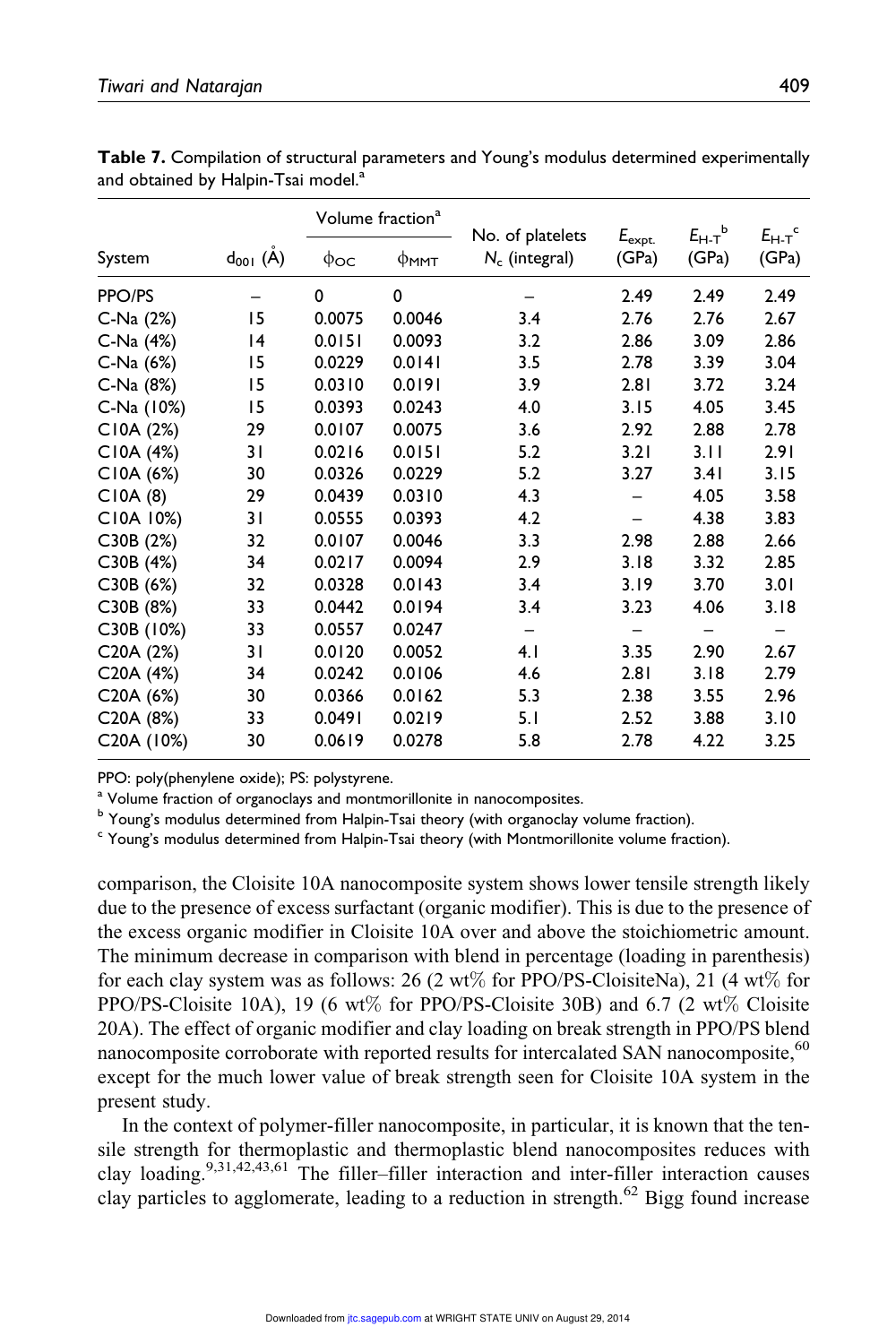|                         |                 | Volume fraction <sup>a</sup> |        |                                      |                          | $E_{H-T}^{\qquad b}$ |                                 |
|-------------------------|-----------------|------------------------------|--------|--------------------------------------|--------------------------|----------------------|---------------------------------|
| System                  | $d_{001} (\AA)$ | $\phi$ oc                    | Фммт   | No. of platelets<br>$N_c$ (integral) | $E_{\sf expt.}$<br>(GPa) | (GPa)                | $E_{H-T}$ <sup>c</sup><br>(GPa) |
| PPO/PS                  |                 | $\Omega$                     | 0      |                                      | 2.49                     | 2.49                 | 2.49                            |
| C-Na (2%)               | 15              | 0.0075                       | 0.0046 | 3.4                                  | 2.76                     | 2.76                 | 2.67                            |
| C-Na (4%)               | 14              | 0.0151                       | 0.0093 | 3.2                                  | 2.86                     | 3.09                 | 2.86                            |
| C-Na (6%)               | 15              | 0.0229                       | 0.0141 | 3.5                                  | 2.78                     | 3.39                 | 3.04                            |
| $C-Na(8%)$              | 15              | 0.0310                       | 0.0191 | 3.9                                  | 2.81                     | 3.72                 | 3.24                            |
| C-Na (10%)              | 15              | 0.0393                       | 0.0243 | 4.0                                  | 3.15                     | 4.05                 | 3.45                            |
| CIOA (2%)               | 29              | 0.0107                       | 0.0075 | 3.6                                  | 2.92                     | 2.88                 | 2.78                            |
| CIOA (4%)               | 31              | 0.0216                       | 0.0151 | 5.2                                  | 3.21                     | 3.11                 | 2.91                            |
| CI0A (6%)               | 30              | 0.0326                       | 0.0229 | 5.2                                  | 3.27                     | 3.41                 | 3.15                            |
| CIOA(8)                 | 29              | 0.0439                       | 0.0310 | 4.3                                  |                          | 4.05                 | 3.58                            |
| C10A 10%)               | 31              | 0.0555                       | 0.0393 | 4.2                                  |                          | 4.38                 | 3.83                            |
| C30B(2%)                | 32              | 0.0107                       | 0.0046 | 3.3                                  | 2.98                     | 2.88                 | 2.66                            |
| C30B(4%)                | 34              | 0.0217                       | 0.0094 | 2.9                                  | 3.18                     | 3.32                 | 2.85                            |
| C30B (6%)               | 32              | 0.0328                       | 0.0143 | 3.4                                  | 3.19                     | 3.70                 | 3.01                            |
| C30B (8%)               | 33              | 0.0442                       | 0.0194 | 3.4                                  | 3.23                     | 4.06                 | 3.18                            |
| C30B (10%)              | 33              | 0.0557                       | 0.0247 | -                                    | -                        | -                    | -                               |
| C20A(2%)                | 31              | 0.0120                       | 0.0052 | 4.1                                  | 3.35                     | 2.90                 | 2.67                            |
| C20A (4%)               | 34              | 0.0242                       | 0.0106 | 4.6                                  | 2.81                     | 3.18                 | 2.79                            |
| C <sub>20</sub> A (6%)  | 30              | 0.0366                       | 0.0162 | 5.3                                  | 2.38                     | 3.55                 | 2.96                            |
| C20A (8%)               | 33              | 0.0491                       | 0.0219 | 5.1                                  | 2.52                     | 3.88                 | 3.10                            |
| C <sub>20</sub> A (10%) | 30              | 0.0619                       | 0.0278 | 5.8                                  | 2.78                     | 4.22                 | 3.25                            |

Table 7. Compilation of structural parameters and Young's modulus determined experimentally and obtained by Halpin-Tsai model.<sup>a</sup>

PPO: poly(phenylene oxide); PS: polystyrene.

<sup>a</sup> Volume fraction of organoclays and montmorillonite in nanocomposites.

<sup>b</sup> Young's modulus determined from Halpin-Tsai theory (with organoclay volume fraction).

<sup>c</sup> Young's modulus determined from Halpin-Tsai theory (with Montmorillonite volume fraction).

comparison, the Cloisite 10A nanocomposite system shows lower tensile strength likely due to the presence of excess surfactant (organic modifier). This is due to the presence of the excess organic modifier in Cloisite 10A over and above the stoichiometric amount. The minimum decrease in comparison with blend in percentage (loading in parenthesis) for each clay system was as follows: 26 (2 wt% for PPO/PS-CloisiteNa), 21 (4 wt% for PPO/PS-Cloisite 10A), 19 (6 wt% for PPO/PS-Cloisite 30B) and 6.7 (2 wt% Cloisite 20A). The effect of organic modifier and clay loading on break strength in PPO/PS blend nanocomposite corroborate with reported results for intercalated SAN nanocomposite,<sup>60</sup> except for the much lower value of break strength seen for Cloisite 10A system in the present study.

In the context of polymer-filler nanocomposite, in particular, it is known that the tensile strength for thermoplastic and thermoplastic blend nanocomposites reduces with clay loading.9,31,42,43,61 The filler–filler interaction and inter-filler interaction causes clay particles to agglomerate, leading to a reduction in strength.<sup>62</sup> Bigg found increase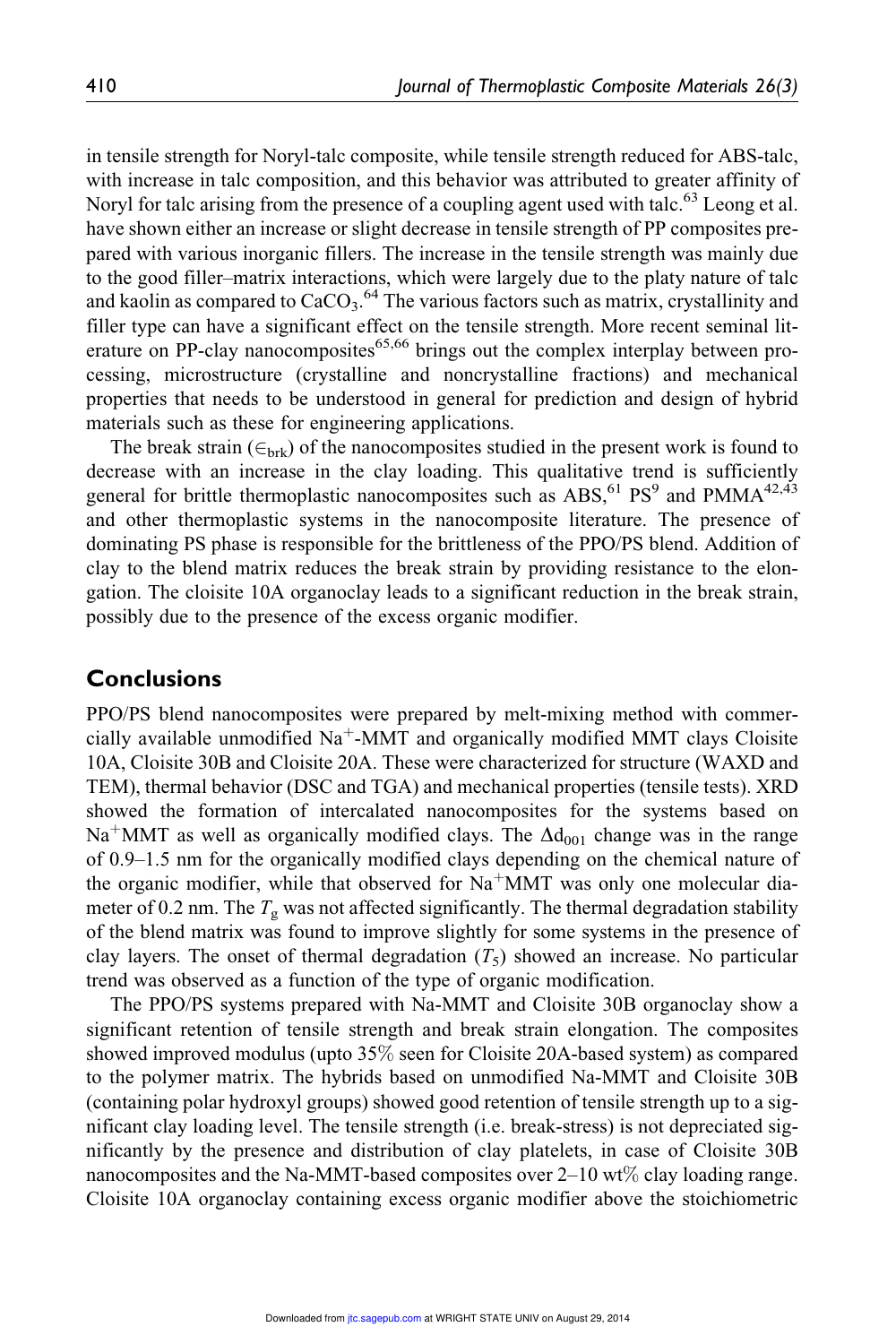in tensile strength for Noryl-talc composite, while tensile strength reduced for ABS-talc, with increase in talc composition, and this behavior was attributed to greater affinity of Noryl for talc arising from the presence of a coupling agent used with talc.<sup>63</sup> Leong et al. have shown either an increase or slight decrease in tensile strength of PP composites prepared with various inorganic fillers. The increase in the tensile strength was mainly due to the good filler–matrix interactions, which were largely due to the platy nature of talc and kaolin as compared to  $CaCO<sub>3</sub>$ .<sup>64</sup> The various factors such as matrix, crystallinity and filler type can have a significant effect on the tensile strength. More recent seminal literature on PP-clay nanocomposites $65,66$  brings out the complex interplay between processing, microstructure (crystalline and noncrystalline fractions) and mechanical properties that needs to be understood in general for prediction and design of hybrid materials such as these for engineering applications.

The break strain  $(\epsilon_{\text{brk}})$  of the nanocomposites studied in the present work is found to decrease with an increase in the clay loading. This qualitative trend is sufficiently general for brittle thermoplastic nanocomposites such as  $\text{ABS},^{61}\text{PS}^9$  and  $\text{PMMA}^{42,43}$ and other thermoplastic systems in the nanocomposite literature. The presence of dominating PS phase is responsible for the brittleness of the PPO/PS blend. Addition of clay to the blend matrix reduces the break strain by providing resistance to the elongation. The cloisite 10A organoclay leads to a significant reduction in the break strain, possibly due to the presence of the excess organic modifier.

# **Conclusions**

PPO/PS blend nanocomposites were prepared by melt-mixing method with commercially available unmodified  $\text{Na}^+$ -MMT and organically modified MMT clays Cloisite 10A, Cloisite 30B and Cloisite 20A. These were characterized for structure (WAXD and TEM), thermal behavior (DSC and TGA) and mechanical properties (tensile tests). XRD showed the formation of intercalated nanocomposites for the systems based on Na<sup>+</sup>MMT as well as organically modified clays. The  $\Delta d_{001}$  change was in the range of 0.9–1.5 nm for the organically modified clays depending on the chemical nature of the organic modifier, while that observed for  $Na<sup>+</sup>MMT$  was only one molecular diameter of 0.2 nm. The  $T_g$  was not affected significantly. The thermal degradation stability of the blend matrix was found to improve slightly for some systems in the presence of clay layers. The onset of thermal degradation  $(T_5)$  showed an increase. No particular trend was observed as a function of the type of organic modification.

The PPO/PS systems prepared with Na-MMT and Cloisite 30B organoclay show a significant retention of tensile strength and break strain elongation. The composites showed improved modulus (upto 35% seen for Cloisite 20A-based system) as compared to the polymer matrix. The hybrids based on unmodified Na-MMT and Cloisite 30B (containing polar hydroxyl groups) showed good retention of tensile strength up to a significant clay loading level. The tensile strength (i.e. break-stress) is not depreciated significantly by the presence and distribution of clay platelets, in case of Cloisite 30B nanocomposites and the Na-MMT-based composites over  $2-10$  wt% clay loading range. Cloisite 10A organoclay containing excess organic modifier above the stoichiometric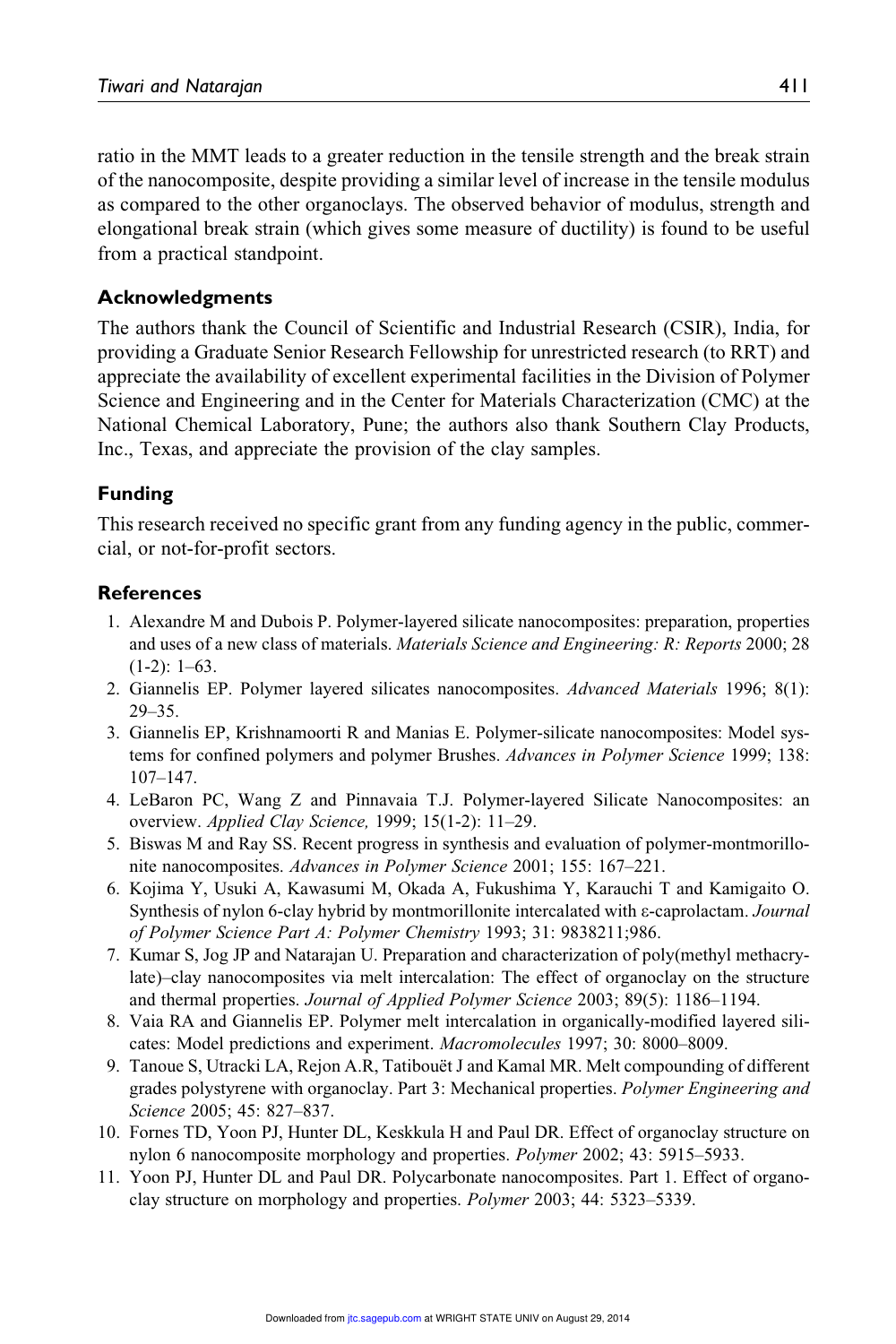ratio in the MMT leads to a greater reduction in the tensile strength and the break strain of the nanocomposite, despite providing a similar level of increase in the tensile modulus as compared to the other organoclays. The observed behavior of modulus, strength and elongational break strain (which gives some measure of ductility) is found to be useful from a practical standpoint.

### Acknowledgments

The authors thank the Council of Scientific and Industrial Research (CSIR), India, for providing a Graduate Senior Research Fellowship for unrestricted research (to RRT) and appreciate the availability of excellent experimental facilities in the Division of Polymer Science and Engineering and in the Center for Materials Characterization (CMC) at the National Chemical Laboratory, Pune; the authors also thank Southern Clay Products, Inc., Texas, and appreciate the provision of the clay samples.

### Funding

This research received no specific grant from any funding agency in the public, commercial, or not-for-profit sectors.

#### **References**

- 1. Alexandre M and Dubois P. Polymer-layered silicate nanocomposites: preparation, properties and uses of a new class of materials. Materials Science and Engineering: R: Reports 2000; 28  $(1-2): 1-63.$
- 2. Giannelis EP. Polymer layered silicates nanocomposites. Advanced Materials 1996; 8(1): 29–35.
- 3. Giannelis EP, Krishnamoorti R and Manias E. Polymer-silicate nanocomposites: Model systems for confined polymers and polymer Brushes. Advances in Polymer Science 1999; 138: 107–147.
- 4. LeBaron PC, Wang Z and Pinnavaia T.J. Polymer-layered Silicate Nanocomposites: an overview. Applied Clay Science, 1999; 15(1-2): 11–29.
- 5. Biswas M and Ray SS. Recent progress in synthesis and evaluation of polymer-montmorillonite nanocomposites. Advances in Polymer Science 2001; 155: 167–221.
- 6. Kojima Y, Usuki A, Kawasumi M, Okada A, Fukushima Y, Karauchi T and Kamigaito O. Synthesis of nylon 6-clay hybrid by montmorillonite intercalated with  $\varepsilon$ -caprolactam. *Journal* of Polymer Science Part A: Polymer Chemistry 1993; 31: 9838211;986.
- 7. Kumar S, Jog JP and Natarajan U. Preparation and characterization of poly(methyl methacrylate)–clay nanocomposites via melt intercalation: The effect of organoclay on the structure and thermal properties. Journal of Applied Polymer Science 2003; 89(5): 1186–1194.
- 8. Vaia RA and Giannelis EP. Polymer melt intercalation in organically-modified layered silicates: Model predictions and experiment. Macromolecules 1997; 30: 8000–8009.
- 9. Tanoue S, Utracki LA, Rejon A.R, Tatibouët J and Kamal MR. Melt compounding of different grades polystyrene with organoclay. Part 3: Mechanical properties. Polymer Engineering and Science 2005; 45: 827–837.
- 10. Fornes TD, Yoon PJ, Hunter DL, Keskkula H and Paul DR. Effect of organoclay structure on nylon 6 nanocomposite morphology and properties. Polymer 2002; 43: 5915–5933.
- 11. Yoon PJ, Hunter DL and Paul DR. Polycarbonate nanocomposites. Part 1. Effect of organoclay structure on morphology and properties. Polymer 2003; 44: 5323–5339.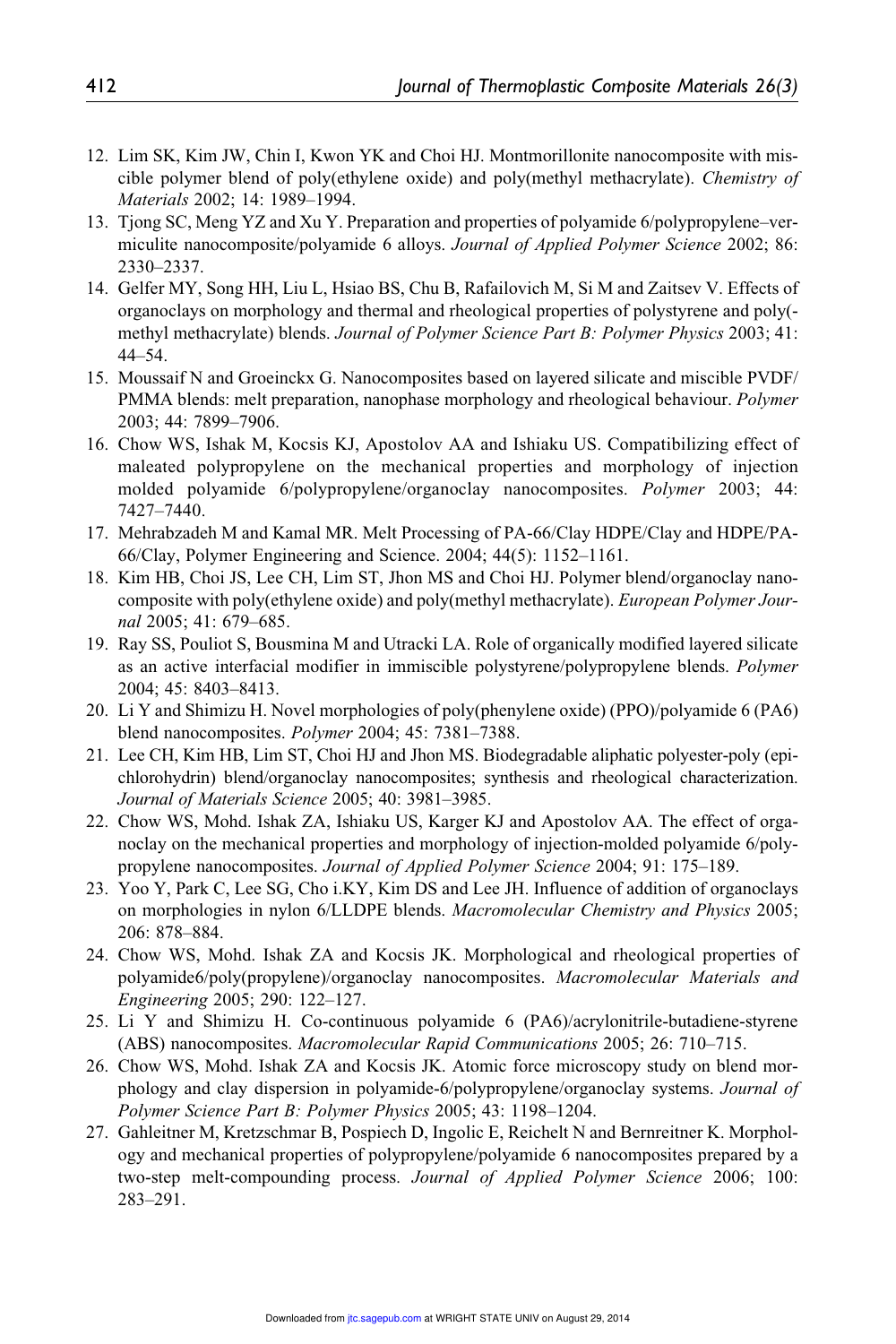- 12. Lim SK, Kim JW, Chin I, Kwon YK and Choi HJ. Montmorillonite nanocomposite with miscible polymer blend of poly(ethylene oxide) and poly(methyl methacrylate). Chemistry of Materials 2002; 14: 1989–1994.
- 13. Tjong SC, Meng YZ and Xu Y. Preparation and properties of polyamide 6/polypropylene–vermiculite nanocomposite/polyamide 6 alloys. Journal of Applied Polymer Science 2002; 86: 2330–2337.
- 14. Gelfer MY, Song HH, Liu L, Hsiao BS, Chu B, Rafailovich M, Si M and Zaitsev V. Effects of organoclays on morphology and thermal and rheological properties of polystyrene and poly( methyl methacrylate) blends. Journal of Polymer Science Part B: Polymer Physics 2003; 41: 44–54.
- 15. Moussaif N and Groeinckx G. Nanocomposites based on layered silicate and miscible PVDF/ PMMA blends: melt preparation, nanophase morphology and rheological behaviour. Polymer 2003; 44: 7899–7906.
- 16. Chow WS, Ishak M, Kocsis KJ, Apostolov AA and Ishiaku US. Compatibilizing effect of maleated polypropylene on the mechanical properties and morphology of injection molded polyamide 6/polypropylene/organoclay nanocomposites. Polymer 2003; 44: 7427–7440.
- 17. Mehrabzadeh M and Kamal MR. Melt Processing of PA-66/Clay HDPE/Clay and HDPE/PA-66/Clay, Polymer Engineering and Science. 2004; 44(5): 1152–1161.
- 18. Kim HB, Choi JS, Lee CH, Lim ST, Jhon MS and Choi HJ. Polymer blend/organoclay nanocomposite with poly(ethylene oxide) and poly(methyl methacrylate). European Polymer Journal 2005; 41: 679–685.
- 19. Ray SS, Pouliot S, Bousmina M and Utracki LA. Role of organically modified layered silicate as an active interfacial modifier in immiscible polystyrene/polypropylene blends. Polymer 2004; 45: 8403–8413.
- 20. Li Y and Shimizu H. Novel morphologies of poly(phenylene oxide) (PPO)/polyamide 6 (PA6) blend nanocomposites. Polymer 2004; 45: 7381–7388.
- 21. Lee CH, Kim HB, Lim ST, Choi HJ and Jhon MS. Biodegradable aliphatic polyester-poly (epichlorohydrin) blend/organoclay nanocomposites; synthesis and rheological characterization. Journal of Materials Science 2005; 40: 3981–3985.
- 22. Chow WS, Mohd. Ishak ZA, Ishiaku US, Karger KJ and Apostolov AA. The effect of organoclay on the mechanical properties and morphology of injection-molded polyamide 6/polypropylene nanocomposites. Journal of Applied Polymer Science 2004; 91: 175–189.
- 23. Yoo Y, Park C, Lee SG, Cho i.KY, Kim DS and Lee JH. Influence of addition of organoclays on morphologies in nylon 6/LLDPE blends. Macromolecular Chemistry and Physics 2005; 206: 878–884.
- 24. Chow WS, Mohd. Ishak ZA and Kocsis JK. Morphological and rheological properties of polyamide6/poly(propylene)/organoclay nanocomposites. Macromolecular Materials and Engineering 2005; 290: 122–127.
- 25. Li Y and Shimizu H. Co-continuous polyamide 6 (PA6)/acrylonitrile-butadiene-styrene (ABS) nanocomposites. Macromolecular Rapid Communications 2005; 26: 710–715.
- 26. Chow WS, Mohd. Ishak ZA and Kocsis JK. Atomic force microscopy study on blend morphology and clay dispersion in polyamide-6/polypropylene/organoclay systems. Journal of Polymer Science Part B: Polymer Physics 2005; 43: 1198–1204.
- 27. Gahleitner M, Kretzschmar B, Pospiech D, Ingolic E, Reichelt N and Bernreitner K. Morphology and mechanical properties of polypropylene/polyamide 6 nanocomposites prepared by a two-step melt-compounding process. Journal of Applied Polymer Science 2006; 100: 283–291.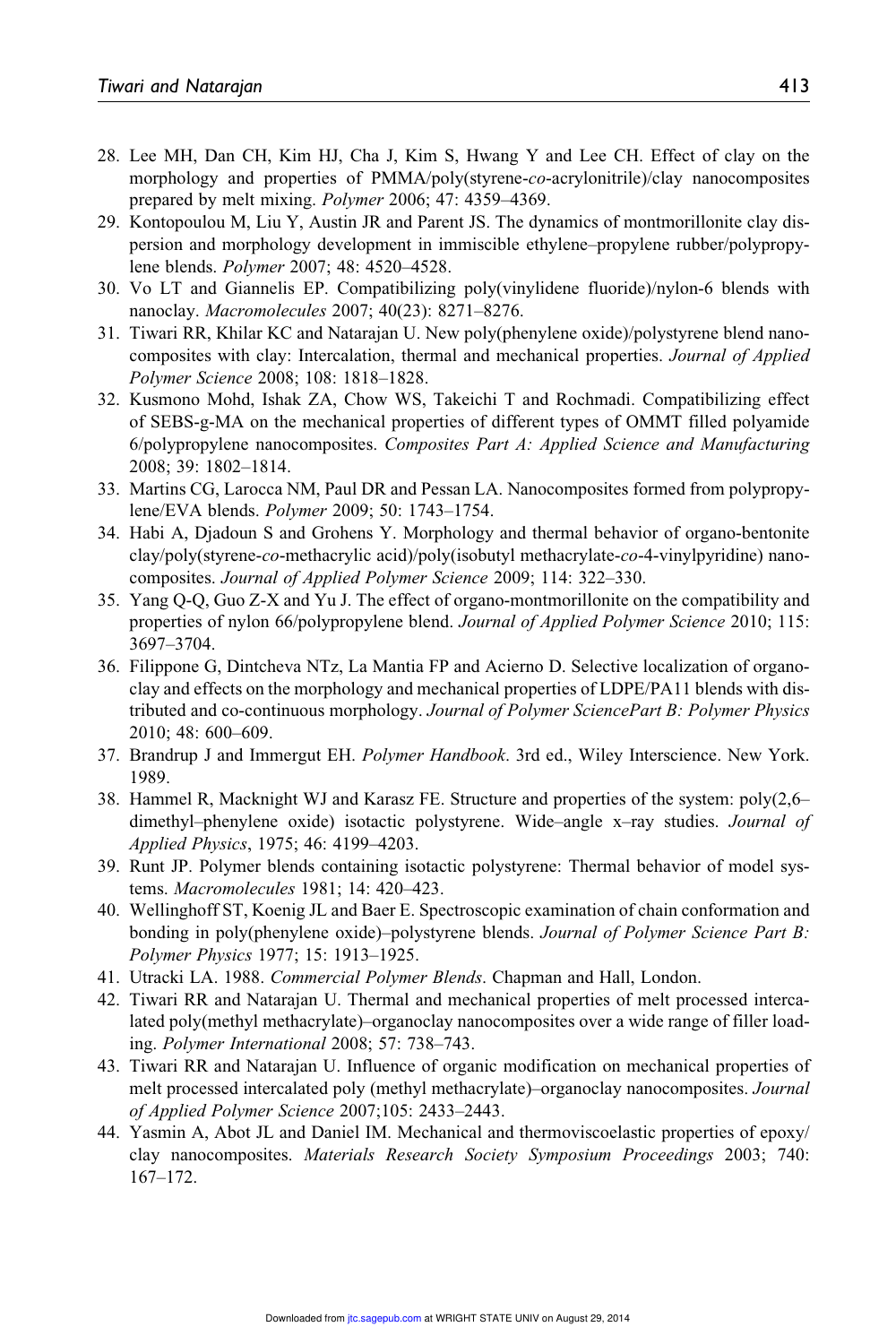- 28. Lee MH, Dan CH, Kim HJ, Cha J, Kim S, Hwang Y and Lee CH. Effect of clay on the morphology and properties of PMMA/poly(styrene-co-acrylonitrile)/clay nanocomposites prepared by melt mixing. Polymer 2006; 47: 4359–4369.
- 29. Kontopoulou M, Liu Y, Austin JR and Parent JS. The dynamics of montmorillonite clay dispersion and morphology development in immiscible ethylene–propylene rubber/polypropylene blends. Polymer 2007; 48: 4520–4528.
- 30. Vo LT and Giannelis EP. Compatibilizing poly(vinylidene fluoride)/nylon-6 blends with nanoclay. Macromolecules 2007; 40(23): 8271–8276.
- 31. Tiwari RR, Khilar KC and Natarajan U. New poly(phenylene oxide)/polystyrene blend nanocomposites with clay: Intercalation, thermal and mechanical properties. Journal of Applied Polymer Science 2008; 108: 1818–1828.
- 32. Kusmono Mohd, Ishak ZA, Chow WS, Takeichi T and Rochmadi. Compatibilizing effect of SEBS-g-MA on the mechanical properties of different types of OMMT filled polyamide 6/polypropylene nanocomposites. Composites Part A: Applied Science and Manufacturing 2008; 39: 1802–1814.
- 33. Martins CG, Larocca NM, Paul DR and Pessan LA. Nanocomposites formed from polypropylene/EVA blends. Polymer 2009; 50: 1743–1754.
- 34. Habi A, Djadoun S and Grohens Y. Morphology and thermal behavior of organo-bentonite clay/poly(styrene-co-methacrylic acid)/poly(isobutyl methacrylate-co-4-vinylpyridine) nanocomposites. Journal of Applied Polymer Science 2009; 114: 322–330.
- 35. Yang Q-Q, Guo Z-X and Yu J. The effect of organo-montmorillonite on the compatibility and properties of nylon 66/polypropylene blend. Journal of Applied Polymer Science 2010; 115: 3697–3704.
- 36. Filippone G, Dintcheva NTz, La Mantia FP and Acierno D. Selective localization of organoclay and effects on the morphology and mechanical properties of LDPE/PA11 blends with distributed and co-continuous morphology. Journal of Polymer SciencePart B: Polymer Physics 2010; 48: 600–609.
- 37. Brandrup J and Immergut EH. Polymer Handbook. 3rd ed., Wiley Interscience. New York. 1989.
- 38. Hammel R, Macknight WJ and Karasz FE. Structure and properties of the system: poly(2,6– dimethyl–phenylene oxide) isotactic polystyrene. Wide–angle x–ray studies. Journal of Applied Physics, 1975; 46: 4199–4203.
- 39. Runt JP. Polymer blends containing isotactic polystyrene: Thermal behavior of model systems. Macromolecules 1981; 14: 420–423.
- 40. Wellinghoff ST, Koenig JL and Baer E. Spectroscopic examination of chain conformation and bonding in poly(phenylene oxide)–polystyrene blends. Journal of Polymer Science Part B: Polymer Physics 1977; 15: 1913–1925.
- 41. Utracki LA. 1988. Commercial Polymer Blends. Chapman and Hall, London.
- 42. Tiwari RR and Natarajan U. Thermal and mechanical properties of melt processed intercalated poly(methyl methacrylate)–organoclay nanocomposites over a wide range of filler loading. Polymer International 2008; 57: 738–743.
- 43. Tiwari RR and Natarajan U. Influence of organic modification on mechanical properties of melt processed intercalated poly (methyl methacrylate)–organoclay nanocomposites. Journal of Applied Polymer Science 2007;105: 2433–2443.
- 44. Yasmin A, Abot JL and Daniel IM. Mechanical and thermoviscoelastic properties of epoxy/ clay nanocomposites. Materials Research Society Symposium Proceedings 2003; 740: 167–172.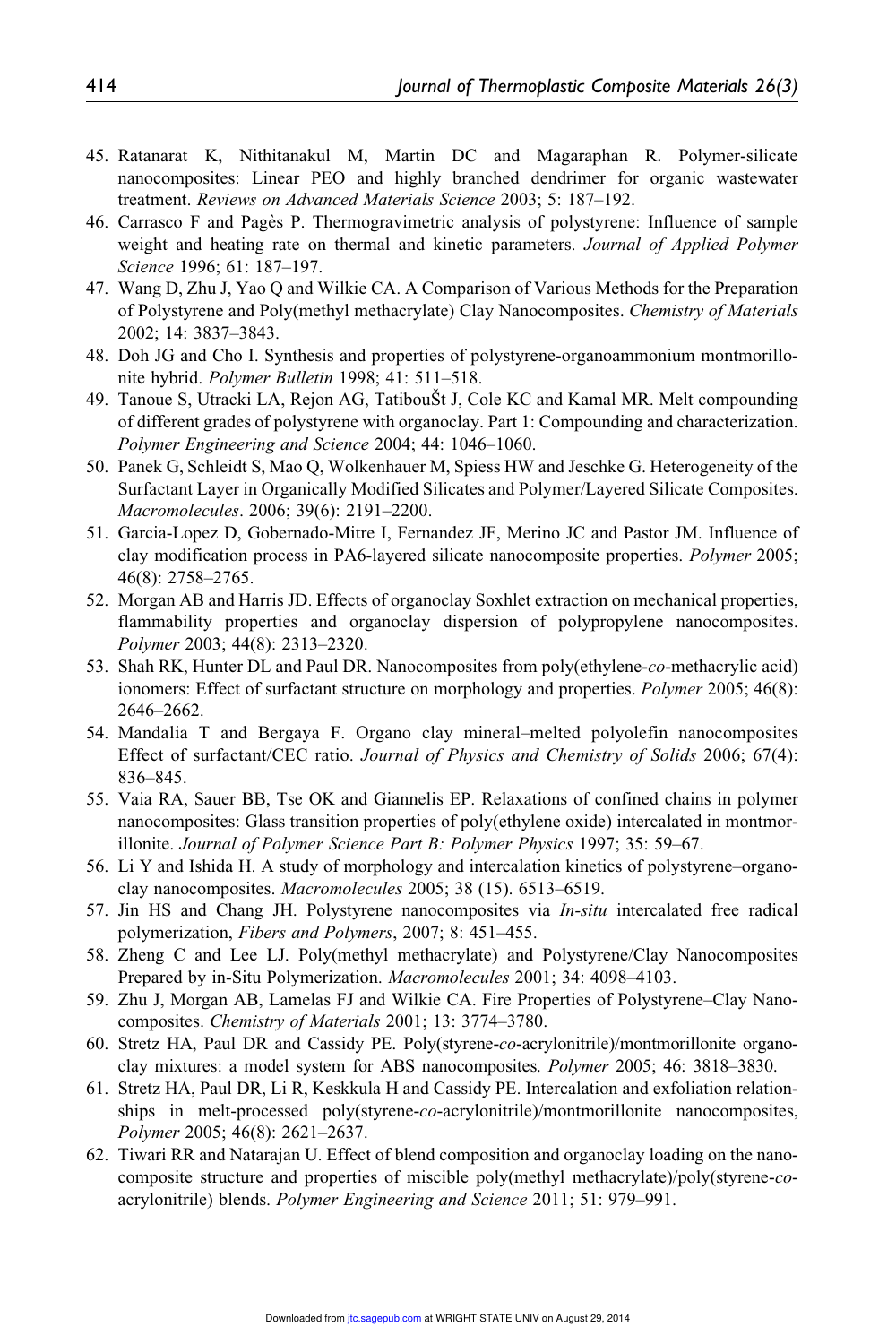- 45. Ratanarat K, Nithitanakul M, Martin DC and Magaraphan R. Polymer-silicate nanocomposites: Linear PEO and highly branched dendrimer for organic wastewater treatment. Reviews on Advanced Materials Science 2003; 5: 187–192.
- 46. Carrasco F and Page`s P. Thermogravimetric analysis of polystyrene: Influence of sample weight and heating rate on thermal and kinetic parameters. Journal of Applied Polymer Science 1996; 61: 187–197.
- 47. Wang D, Zhu J, Yao Q and Wilkie CA. A Comparison of Various Methods for the Preparation of Polystyrene and Poly(methyl methacrylate) Clay Nanocomposites. Chemistry of Materials 2002; 14: 3837–3843.
- 48. Doh JG and Cho I. Synthesis and properties of polystyrene-organoammonium montmorillonite hybrid. Polymer Bulletin 1998; 41: 511–518.
- 49. Tanoue S, Utracki LA, Rejon AG, TatibouŠt J, Cole KC and Kamal MR. Melt compounding of different grades of polystyrene with organoclay. Part 1: Compounding and characterization. Polymer Engineering and Science 2004; 44: 1046–1060.
- 50. Panek G, Schleidt S, Mao Q, Wolkenhauer M, Spiess HW and Jeschke G. Heterogeneity of the Surfactant Layer in Organically Modified Silicates and Polymer/Layered Silicate Composites. Macromolecules. 2006; 39(6): 2191–2200.
- 51. Garcia-Lopez D, Gobernado-Mitre I, Fernandez JF, Merino JC and Pastor JM. Influence of clay modification process in PA6-layered silicate nanocomposite properties. Polymer 2005; 46(8): 2758–2765.
- 52. Morgan AB and Harris JD. Effects of organoclay Soxhlet extraction on mechanical properties, flammability properties and organoclay dispersion of polypropylene nanocomposites. Polymer 2003; 44(8): 2313–2320.
- 53. Shah RK, Hunter DL and Paul DR. Nanocomposites from poly(ethylene-co-methacrylic acid) ionomers: Effect of surfactant structure on morphology and properties. Polymer 2005; 46(8): 2646–2662.
- 54. Mandalia T and Bergaya F. Organo clay mineral–melted polyolefin nanocomposites Effect of surfactant/CEC ratio. Journal of Physics and Chemistry of Solids 2006; 67(4): 836–845.
- 55. Vaia RA, Sauer BB, Tse OK and Giannelis EP. Relaxations of confined chains in polymer nanocomposites: Glass transition properties of poly(ethylene oxide) intercalated in montmorillonite. Journal of Polymer Science Part B: Polymer Physics 1997; 35: 59–67.
- 56. Li Y and Ishida H. A study of morphology and intercalation kinetics of polystyrene–organoclay nanocomposites. Macromolecules 2005; 38 (15). 6513–6519.
- 57. Jin HS and Chang JH. Polystyrene nanocomposites via In-situ intercalated free radical polymerization, Fibers and Polymers, 2007; 8: 451–455.
- 58. Zheng C and Lee LJ. Poly(methyl methacrylate) and Polystyrene/Clay Nanocomposites Prepared by in-Situ Polymerization. Macromolecules 2001; 34: 4098-4103.
- 59. Zhu J, Morgan AB, Lamelas FJ and Wilkie CA. Fire Properties of Polystyrene–Clay Nanocomposites. Chemistry of Materials 2001; 13: 3774–3780.
- 60. Stretz HA, Paul DR and Cassidy PE. Poly(styrene-co-acrylonitrile)/montmorillonite organoclay mixtures: a model system for ABS nanocomposites. Polymer 2005; 46: 3818–3830.
- 61. Stretz HA, Paul DR, Li R, Keskkula H and Cassidy PE. Intercalation and exfoliation relationships in melt-processed poly(styrene-co-acrylonitrile)/montmorillonite nanocomposites, Polymer 2005; 46(8): 2621–2637.
- 62. Tiwari RR and Natarajan U. Effect of blend composition and organoclay loading on the nanocomposite structure and properties of miscible poly(methyl methacrylate)/poly(styrene-coacrylonitrile) blends. Polymer Engineering and Science 2011; 51: 979–991.